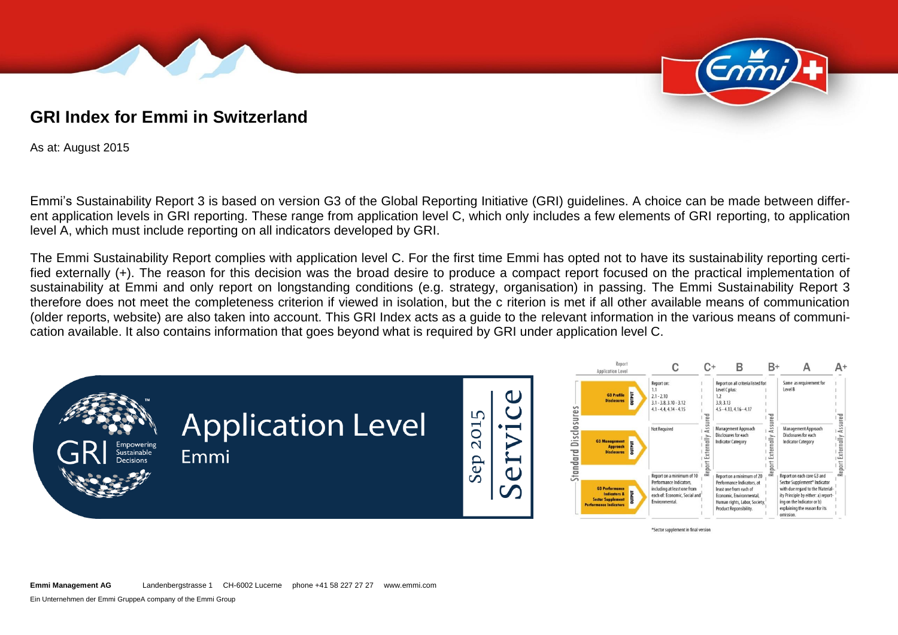



# **GRI Index for Emmi in Switzerland**

As at: August 2015

Emmi's Sustainability Report 3 is based on version G3 of the Global Reporting Initiative (GRI) guidelines. A choice can be made between different application levels in GRI reporting. These range from application level C, which only includes a few elements of GRI reporting, to application level A, which must include reporting on all indicators developed by GRI.

The Emmi Sustainability Report complies with application level C. For the first time Emmi has opted not to have its sustainability reporting certified externally (+). The reason for this decision was the broad desire to produce a compact report focused on the practical implementation of sustainability at Emmi and only report on longstanding conditions (e.g. strategy, organisation) in passing. The Emmi Sustainability Report 3 therefore does not meet the completeness criterion if viewed in isolation, but the c riterion is met if all other available means of communication (older reports, website) are also taken into account. This GRI Index acts as a guide to the relevant information in the various means of communication available. It also contains information that goes beyond what is required by GRI under application level C.



**Emmi Management AG** Landenbergstrasse 1 CH-6002 Lucerne phone +41 58 227 27 27 www.emmi.com

Ein Unternehmen der Emmi GruppeA company of the Emmi Group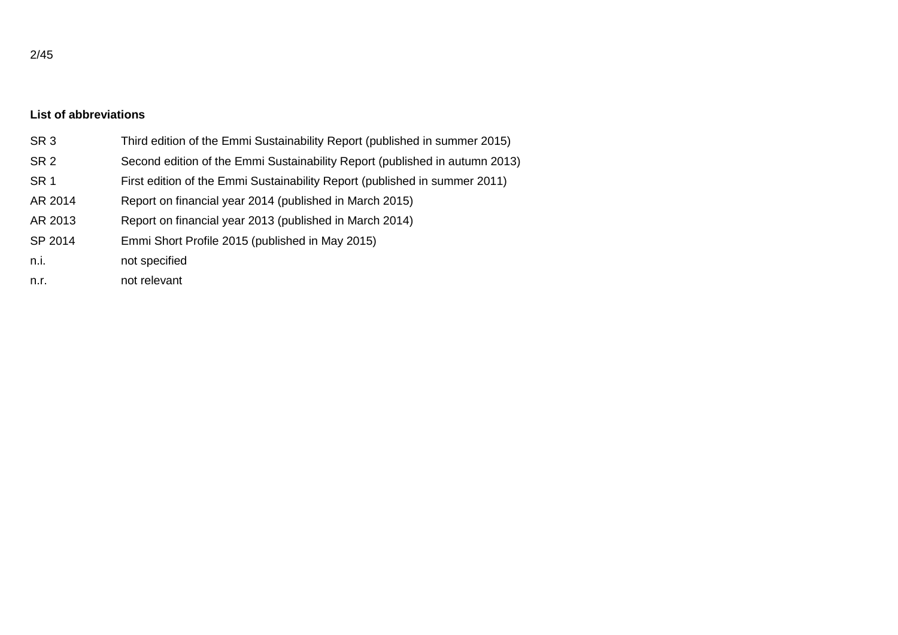## **List of abbreviations**

| SR <sub>3</sub> | Third edition of the Emmi Sustainability Report (published in summer 2015)  |
|-----------------|-----------------------------------------------------------------------------|
| SR <sub>2</sub> | Second edition of the Emmi Sustainability Report (published in autumn 2013) |
| SR <sub>1</sub> | First edition of the Emmi Sustainability Report (published in summer 2011)  |
| AR 2014         | Report on financial year 2014 (published in March 2015)                     |
| AR 2013         | Report on financial year 2013 (published in March 2014)                     |
| SP 2014         | Emmi Short Profile 2015 (published in May 2015)                             |
| n.i.            | not specified                                                               |
| n.r.            | not relevant                                                                |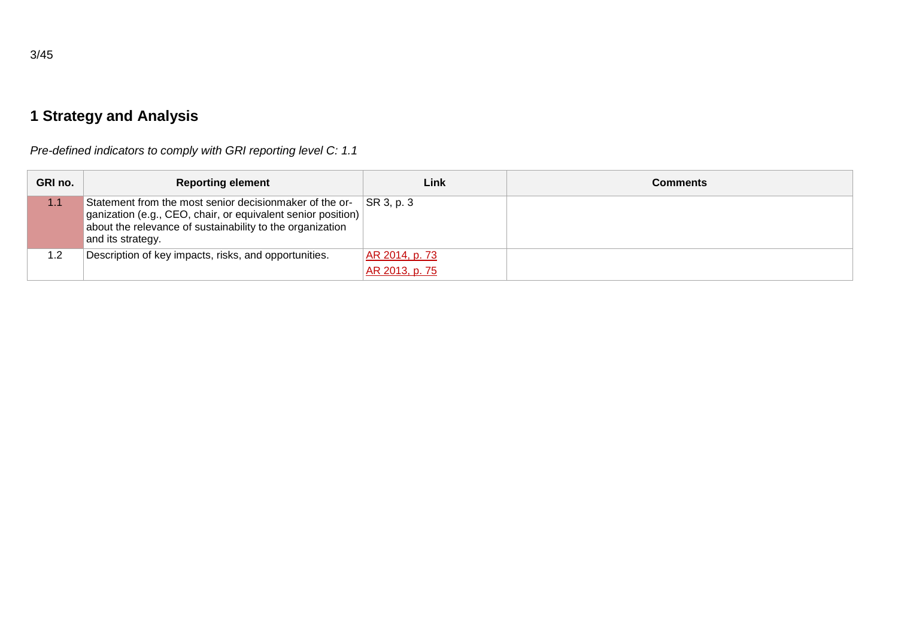*Pre-defined indicators to comply with GRI reporting level C: 1.1*

| GRI no. | <b>Reporting element</b>                                                                                                                                                                                    | Link           | <b>Comments</b> |
|---------|-------------------------------------------------------------------------------------------------------------------------------------------------------------------------------------------------------------|----------------|-----------------|
| 1.1     | Statement from the most senior decisionmaker of the or-<br>ganization (e.g., CEO, chair, or equivalent senior position)  <br>about the relevance of sustainability to the organization<br>and its strategy. | SR 3, p. 3     |                 |
| 1.2     | Description of key impacts, risks, and opportunities.                                                                                                                                                       | AR 2014, p. 73 |                 |
|         |                                                                                                                                                                                                             | AR 2013, p. 75 |                 |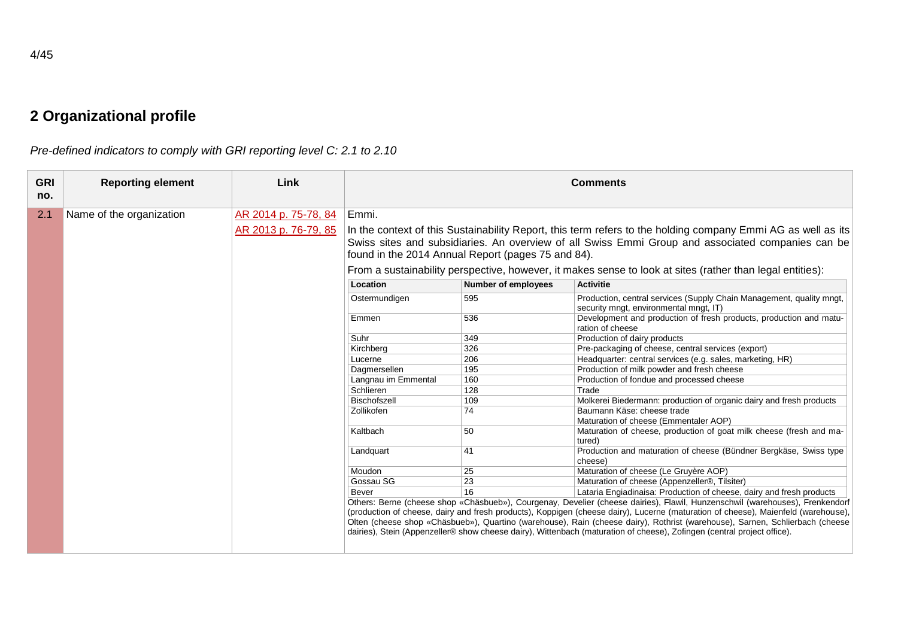*Pre-defined indicators to comply with GRI reporting level C: 2.1 to 2.10*

| <b>GRI</b><br>no. | <b>Reporting element</b> | Link                 |                                                                                                                                                                                                                                                                         |                            | <b>Comments</b>                                                                                                                                                                                                                                                                                                                                                                                                                                                                                                              |  |  |
|-------------------|--------------------------|----------------------|-------------------------------------------------------------------------------------------------------------------------------------------------------------------------------------------------------------------------------------------------------------------------|----------------------------|------------------------------------------------------------------------------------------------------------------------------------------------------------------------------------------------------------------------------------------------------------------------------------------------------------------------------------------------------------------------------------------------------------------------------------------------------------------------------------------------------------------------------|--|--|
| 2.1               | Name of the organization | AR 2014 p. 75-78, 84 | Emmi.                                                                                                                                                                                                                                                                   |                            |                                                                                                                                                                                                                                                                                                                                                                                                                                                                                                                              |  |  |
|                   |                          | AR 2013 p. 76-79, 85 | In the context of this Sustainability Report, this term refers to the holding company Emmi AG as well as its<br>Swiss sites and subsidiaries. An overview of all Swiss Emmi Group and associated companies can be<br>found in the 2014 Annual Report (pages 75 and 84). |                            |                                                                                                                                                                                                                                                                                                                                                                                                                                                                                                                              |  |  |
|                   |                          |                      | From a sustainability perspective, however, it makes sense to look at sites (rather than legal entities):                                                                                                                                                               |                            |                                                                                                                                                                                                                                                                                                                                                                                                                                                                                                                              |  |  |
|                   |                          |                      | Location                                                                                                                                                                                                                                                                | <b>Number of employees</b> | <b>Activitie</b>                                                                                                                                                                                                                                                                                                                                                                                                                                                                                                             |  |  |
|                   |                          |                      | Ostermundigen                                                                                                                                                                                                                                                           | 595                        | Production, central services (Supply Chain Management, quality mngt,<br>security mngt, environmental mngt, IT)                                                                                                                                                                                                                                                                                                                                                                                                               |  |  |
|                   |                          |                      | Emmen                                                                                                                                                                                                                                                                   | 536                        | Development and production of fresh products, production and matu-<br>ration of cheese                                                                                                                                                                                                                                                                                                                                                                                                                                       |  |  |
|                   |                          |                      | Suhr                                                                                                                                                                                                                                                                    | 349                        | Production of dairy products                                                                                                                                                                                                                                                                                                                                                                                                                                                                                                 |  |  |
|                   |                          |                      | Kirchberg                                                                                                                                                                                                                                                               | 326                        | Pre-packaging of cheese, central services (export)                                                                                                                                                                                                                                                                                                                                                                                                                                                                           |  |  |
|                   |                          |                      | Lucerne                                                                                                                                                                                                                                                                 | 206                        | Headquarter: central services (e.g. sales, marketing, HR)                                                                                                                                                                                                                                                                                                                                                                                                                                                                    |  |  |
|                   |                          |                      | Dagmersellen                                                                                                                                                                                                                                                            | 195                        | Production of milk powder and fresh cheese                                                                                                                                                                                                                                                                                                                                                                                                                                                                                   |  |  |
|                   |                          |                      | Langnau im Emmental                                                                                                                                                                                                                                                     | 160                        | Production of fondue and processed cheese                                                                                                                                                                                                                                                                                                                                                                                                                                                                                    |  |  |
|                   |                          |                      | Schlieren                                                                                                                                                                                                                                                               | 128                        | Trade                                                                                                                                                                                                                                                                                                                                                                                                                                                                                                                        |  |  |
|                   |                          |                      | Bischofszell                                                                                                                                                                                                                                                            | 109                        | Molkerei Biedermann: production of organic dairy and fresh products                                                                                                                                                                                                                                                                                                                                                                                                                                                          |  |  |
|                   |                          |                      | Zollikofen                                                                                                                                                                                                                                                              | 74                         | Baumann Käse: cheese trade<br>Maturation of cheese (Emmentaler AOP)                                                                                                                                                                                                                                                                                                                                                                                                                                                          |  |  |
|                   |                          |                      | Kaltbach                                                                                                                                                                                                                                                                | 50                         | Maturation of cheese, production of goat milk cheese (fresh and ma-<br>tured)                                                                                                                                                                                                                                                                                                                                                                                                                                                |  |  |
|                   |                          |                      | Landquart                                                                                                                                                                                                                                                               | 41                         | Production and maturation of cheese (Bündner Bergkäse, Swiss type<br>cheese)                                                                                                                                                                                                                                                                                                                                                                                                                                                 |  |  |
|                   |                          |                      | Moudon                                                                                                                                                                                                                                                                  | 25                         | Maturation of cheese (Le Gruyère AOP)                                                                                                                                                                                                                                                                                                                                                                                                                                                                                        |  |  |
|                   |                          |                      | Gossau SG                                                                                                                                                                                                                                                               | 23                         | Maturation of cheese (Appenzeller®, Tilsiter)                                                                                                                                                                                                                                                                                                                                                                                                                                                                                |  |  |
|                   |                          |                      | <b>Bever</b>                                                                                                                                                                                                                                                            | 16                         | Lataria Engiadinaisa: Production of cheese, dairy and fresh products                                                                                                                                                                                                                                                                                                                                                                                                                                                         |  |  |
|                   |                          |                      |                                                                                                                                                                                                                                                                         |                            | Others: Berne (cheese shop «Chäsbueb»), Courgenay, Develier (cheese dairies), Flawil, Hunzenschwil (warehouses), Frenkendorf<br>(production of cheese, dairy and fresh products), Koppigen (cheese dairy), Lucerne (maturation of cheese), Maienfeld (warehouse),<br>Olten (cheese shop «Chäsbueb»), Quartino (warehouse), Rain (cheese dairy), Rothrist (warehouse), Sarnen, Schlierbach (cheese<br>dairies), Stein (Appenzeller® show cheese dairy), Wittenbach (maturation of cheese), Zofingen (central project office). |  |  |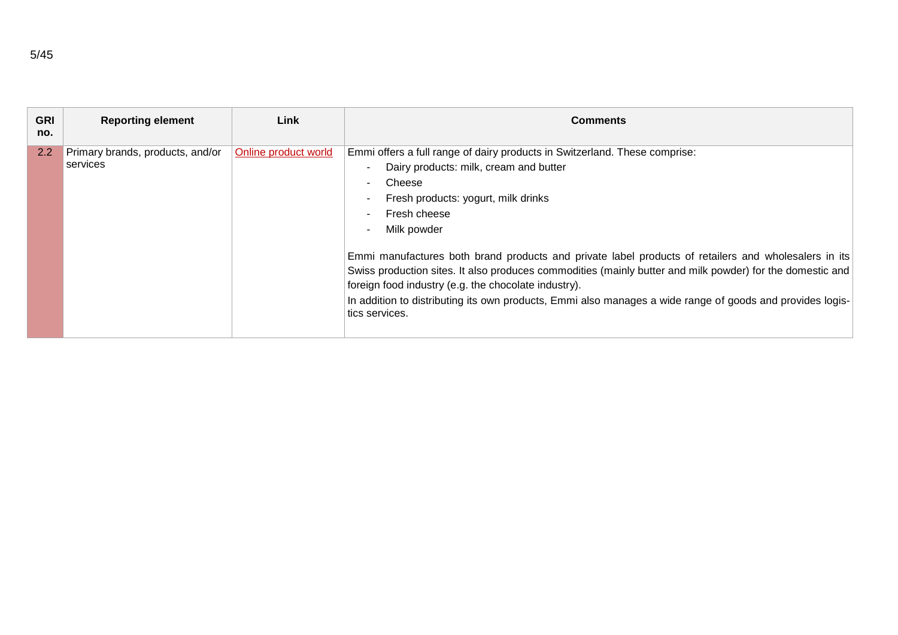| <b>GRI</b><br>no. | <b>Reporting element</b>                     | Link                 | <b>Comments</b>                                                                                                                                                                                                                                                                                                                                                                                                                                                                                                                                                                                                  |
|-------------------|----------------------------------------------|----------------------|------------------------------------------------------------------------------------------------------------------------------------------------------------------------------------------------------------------------------------------------------------------------------------------------------------------------------------------------------------------------------------------------------------------------------------------------------------------------------------------------------------------------------------------------------------------------------------------------------------------|
| $2.2^{\circ}$     | Primary brands, products, and/or<br>services | Online product world | Emmi offers a full range of dairy products in Switzerland. These comprise:<br>Dairy products: milk, cream and butter<br>Cheese<br>Fresh products: yogurt, milk drinks<br>Fresh cheese<br>Milk powder<br>Emmi manufactures both brand products and private label products of retailers and wholesalers in its<br>Swiss production sites. It also produces commodities (mainly butter and milk powder) for the domestic and<br>foreign food industry (e.g. the chocolate industry).<br>In addition to distributing its own products, Emmi also manages a wide range of goods and provides logis-<br>tics services. |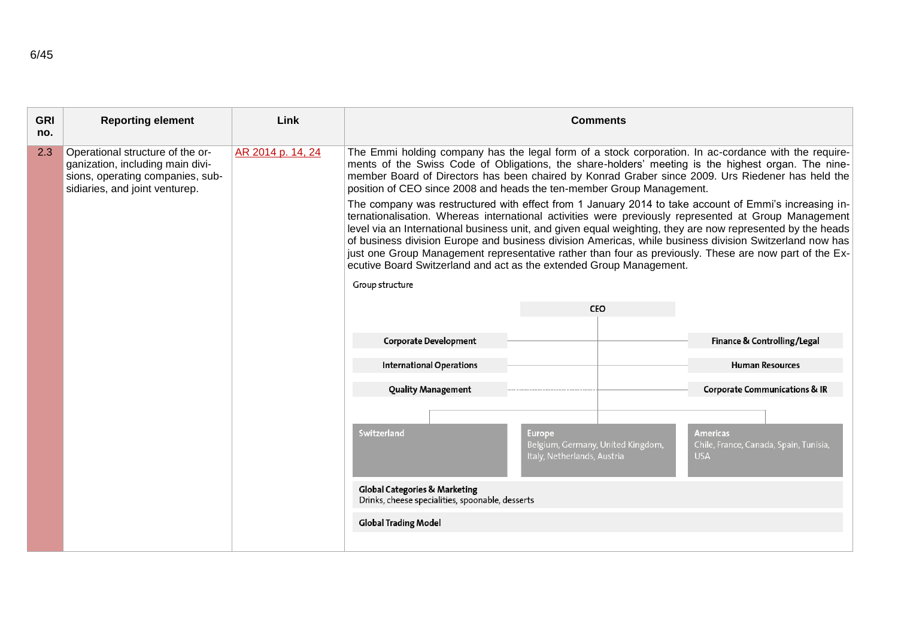| <b>GRI</b><br>no. | <b>Reporting element</b>                                                                                                                   | Link              |                                                                                                                                                                                                                                                                                                                                                                                                                                                                                                                                                                                                           | <b>Comments</b>                                                            |                                                                         |  |
|-------------------|--------------------------------------------------------------------------------------------------------------------------------------------|-------------------|-----------------------------------------------------------------------------------------------------------------------------------------------------------------------------------------------------------------------------------------------------------------------------------------------------------------------------------------------------------------------------------------------------------------------------------------------------------------------------------------------------------------------------------------------------------------------------------------------------------|----------------------------------------------------------------------------|-------------------------------------------------------------------------|--|
| 2.3               | Operational structure of the or-<br>ganization, including main divi-<br>sions, operating companies, sub-<br>sidiaries, and joint venturep. | AR 2014 p. 14, 24 | The Emmi holding company has the legal form of a stock corporation. In ac-cordance with the require-<br>ments of the Swiss Code of Obligations, the share-holders' meeting is the highest organ. The nine-<br>member Board of Directors has been chaired by Konrad Graber since 2009. Urs Riedener has held the<br>position of CEO since 2008 and heads the ten-member Group Management.<br>The company was restructured with effect from 1 January 2014 to take account of Emmi's increasing in-<br>ternationalisation. Whereas international activities were previously represented at Group Management |                                                                            |                                                                         |  |
|                   |                                                                                                                                            |                   | level via an International business unit, and given equal weighting, they are now represented by the heads<br>of business division Europe and business division Americas, while business division Switzerland now has<br>just one Group Management representative rather than four as previously. These are now part of the Ex-<br>ecutive Board Switzerland and act as the extended Group Management.<br>Group structure                                                                                                                                                                                 |                                                                            |                                                                         |  |
|                   |                                                                                                                                            |                   |                                                                                                                                                                                                                                                                                                                                                                                                                                                                                                                                                                                                           | CEO                                                                        |                                                                         |  |
|                   |                                                                                                                                            |                   |                                                                                                                                                                                                                                                                                                                                                                                                                                                                                                                                                                                                           |                                                                            |                                                                         |  |
|                   |                                                                                                                                            |                   | <b>Corporate Development</b>                                                                                                                                                                                                                                                                                                                                                                                                                                                                                                                                                                              |                                                                            | Finance & Controlling/Legal                                             |  |
|                   |                                                                                                                                            |                   | <b>International Operations</b>                                                                                                                                                                                                                                                                                                                                                                                                                                                                                                                                                                           |                                                                            | <b>Human Resources</b>                                                  |  |
|                   |                                                                                                                                            |                   | <b>Quality Management</b>                                                                                                                                                                                                                                                                                                                                                                                                                                                                                                                                                                                 |                                                                            | <b>Corporate Communications &amp; IR</b>                                |  |
|                   |                                                                                                                                            |                   | Switzerland<br><b>Global Categories &amp; Marketing</b><br>Drinks, cheese specialities, spoonable, desserts<br><b>Global Trading Model</b>                                                                                                                                                                                                                                                                                                                                                                                                                                                                | Europe<br>Belgium, Germany, United Kingdom,<br>Italy, Netherlands, Austria | <b>Americas</b><br>Chile, France, Canada, Spain, Tunisia,<br><b>USA</b> |  |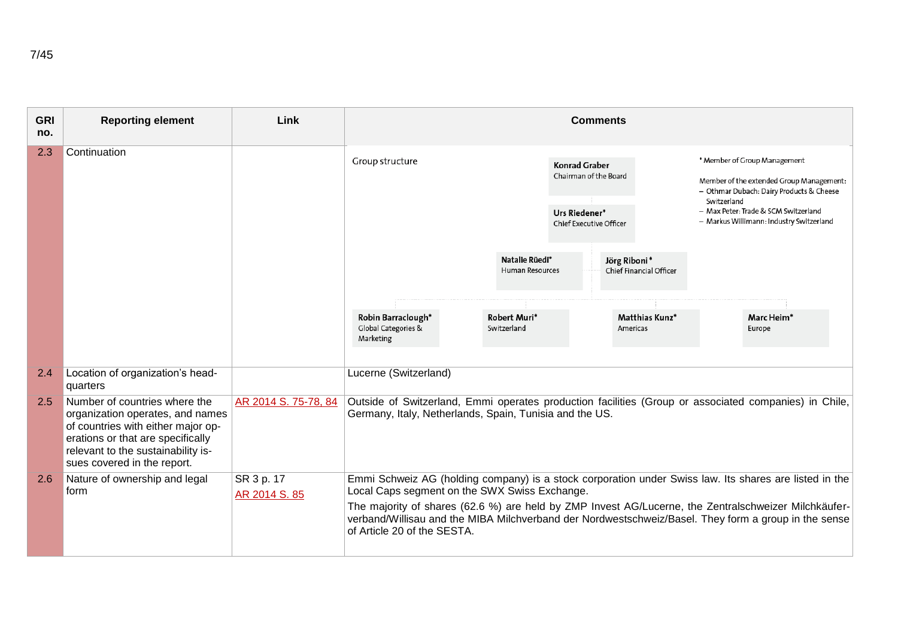| <b>GRI</b><br>no. | <b>Reporting element</b>                                                                                                                                                                                          | Link                        |                                                         |                                          | <b>Comments</b>                                                                                  |                                         |                                                                                                                                                                                                                         |
|-------------------|-------------------------------------------------------------------------------------------------------------------------------------------------------------------------------------------------------------------|-----------------------------|---------------------------------------------------------|------------------------------------------|--------------------------------------------------------------------------------------------------|-----------------------------------------|-------------------------------------------------------------------------------------------------------------------------------------------------------------------------------------------------------------------------|
| 2.3               | Continuation                                                                                                                                                                                                      |                             | Group structure                                         |                                          | <b>Konrad Graber</b><br>Chairman of the Board<br>Urs Riedener*<br><b>Chief Executive Officer</b> |                                         | * Member of Group Management<br>Member of the extended Group Management:<br>- Othmar Dubach: Dairy Products & Cheese<br>Switzerland<br>- Max Peter: Trade & SCM Switzerland<br>- Markus Willimann: Industry Switzerland |
|                   |                                                                                                                                                                                                                   |                             |                                                         | Natalie Rüedi*<br><b>Human Resources</b> |                                                                                                  | Jörg Riboni*<br>Chief Financial Officer |                                                                                                                                                                                                                         |
|                   |                                                                                                                                                                                                                   |                             | Robin Barraclough*<br>Global Categories &<br>Marketing  | Robert Muri*<br>Switzerland              |                                                                                                  | Matthias Kunz*<br>Americas              | Marc Heim*<br>Europe                                                                                                                                                                                                    |
| 2.4               | Location of organization's head-<br>quarters                                                                                                                                                                      |                             | Lucerne (Switzerland)                                   |                                          |                                                                                                  |                                         |                                                                                                                                                                                                                         |
| 2.5               | Number of countries where the<br>organization operates, and names<br>of countries with either major op-<br>erations or that are specifically<br>relevant to the sustainability is-<br>sues covered in the report. | AR 2014 S. 75-78, 84        | Germany, Italy, Netherlands, Spain, Tunisia and the US. |                                          |                                                                                                  |                                         | Outside of Switzerland, Emmi operates production facilities (Group or associated companies) in Chile,                                                                                                                   |
| 2.6               | Nature of ownership and legal<br>form                                                                                                                                                                             | SR 3 p. 17<br>AR 2014 S. 85 | Local Caps segment on the SWX Swiss Exchange.           |                                          |                                                                                                  |                                         | Emmi Schweiz AG (holding company) is a stock corporation under Swiss law. Its shares are listed in the                                                                                                                  |
|                   |                                                                                                                                                                                                                   |                             | of Article 20 of the SESTA.                             |                                          |                                                                                                  |                                         | The majority of shares (62.6 %) are held by ZMP Invest AG/Lucerne, the Zentralschweizer Milchkäufer-<br>verband/Willisau and the MIBA Milchverband der Nordwestschweiz/Basel. They form a group in the sense            |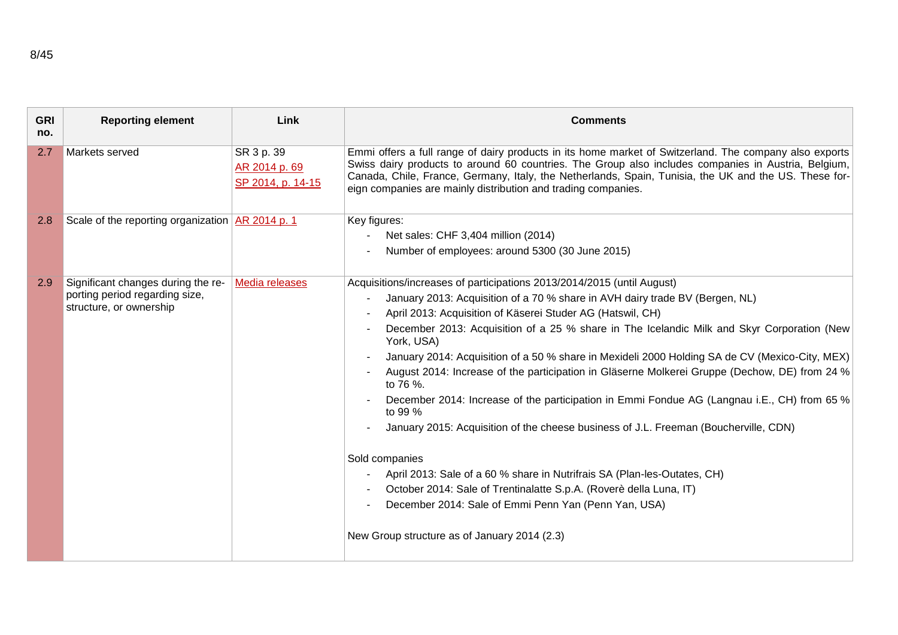| <b>GRI</b><br>no. | <b>Reporting element</b>                                                                        | Link                                             | <b>Comments</b>                                                                                                                                                                                                                                                                                                                                                                                                                                                                                                                                                                                                                                                                                                                                                                                                                                                                                                                                                                                                               |
|-------------------|-------------------------------------------------------------------------------------------------|--------------------------------------------------|-------------------------------------------------------------------------------------------------------------------------------------------------------------------------------------------------------------------------------------------------------------------------------------------------------------------------------------------------------------------------------------------------------------------------------------------------------------------------------------------------------------------------------------------------------------------------------------------------------------------------------------------------------------------------------------------------------------------------------------------------------------------------------------------------------------------------------------------------------------------------------------------------------------------------------------------------------------------------------------------------------------------------------|
| 2.7               | Markets served                                                                                  | SR 3 p. 39<br>AR 2014 p. 69<br>SP 2014, p. 14-15 | Emmi offers a full range of dairy products in its home market of Switzerland. The company also exports<br>Swiss dairy products to around 60 countries. The Group also includes companies in Austria, Belgium,<br>Canada, Chile, France, Germany, Italy, the Netherlands, Spain, Tunisia, the UK and the US. These for-<br>eign companies are mainly distribution and trading companies.                                                                                                                                                                                                                                                                                                                                                                                                                                                                                                                                                                                                                                       |
| 2.8               | Scale of the reporting organization $AR$ 2014 p. 1                                              |                                                  | Key figures:<br>Net sales: CHF 3,404 million (2014)<br>Number of employees: around 5300 (30 June 2015)                                                                                                                                                                                                                                                                                                                                                                                                                                                                                                                                                                                                                                                                                                                                                                                                                                                                                                                        |
| 2.9               | Significant changes during the re-<br>porting period regarding size,<br>structure, or ownership | Media releases                                   | Acquisitions/increases of participations 2013/2014/2015 (until August)<br>January 2013: Acquisition of a 70 % share in AVH dairy trade BV (Bergen, NL)<br>April 2013: Acquisition of Käserei Studer AG (Hatswil, CH)<br>December 2013: Acquisition of a 25 % share in The Icelandic Milk and Skyr Corporation (New<br>York, USA)<br>January 2014: Acquisition of a 50 % share in Mexideli 2000 Holding SA de CV (Mexico-City, MEX)<br>August 2014: Increase of the participation in Gläserne Molkerei Gruppe (Dechow, DE) from 24 %<br>to 76 %.<br>December 2014: Increase of the participation in Emmi Fondue AG (Langnau i.E., CH) from 65 %<br>to 99 %<br>January 2015: Acquisition of the cheese business of J.L. Freeman (Boucherville, CDN)<br>Sold companies<br>April 2013: Sale of a 60 % share in Nutrifrais SA (Plan-les-Outates, CH)<br>October 2014: Sale of Trentinalatte S.p.A. (Roverè della Luna, IT)<br>December 2014: Sale of Emmi Penn Yan (Penn Yan, USA)<br>New Group structure as of January 2014 (2.3) |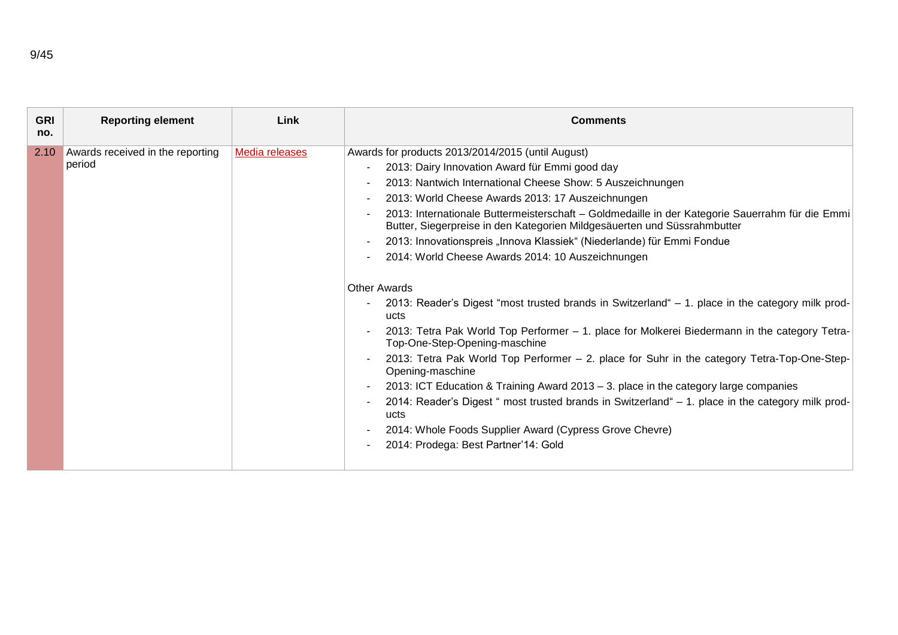| <b>GRI</b><br>no. | <b>Reporting element</b>                   | Link           | <b>Comments</b>                                                                                                                                                                                                                                                                                                                                                                                                                                                                                                                                                                                                                                                                                                                                                                                                                                                                                                                                                                                                                                                                                                                                                                                                                                                                                        |
|-------------------|--------------------------------------------|----------------|--------------------------------------------------------------------------------------------------------------------------------------------------------------------------------------------------------------------------------------------------------------------------------------------------------------------------------------------------------------------------------------------------------------------------------------------------------------------------------------------------------------------------------------------------------------------------------------------------------------------------------------------------------------------------------------------------------------------------------------------------------------------------------------------------------------------------------------------------------------------------------------------------------------------------------------------------------------------------------------------------------------------------------------------------------------------------------------------------------------------------------------------------------------------------------------------------------------------------------------------------------------------------------------------------------|
| 2.10              | Awards received in the reporting<br>period | Media releases | Awards for products 2013/2014/2015 (until August)<br>2013: Dairy Innovation Award für Emmi good day<br>2013: Nantwich International Cheese Show: 5 Auszeichnungen<br>2013: World Cheese Awards 2013: 17 Auszeichnungen<br>$\sim$<br>2013: Internationale Buttermeisterschaft - Goldmedaille in der Kategorie Sauerrahm für die Emmi<br>Butter, Siegerpreise in den Kategorien Mildgesäuerten und Süssrahmbutter<br>2013: Innovationspreis "Innova Klassiek" (Niederlande) für Emmi Fondue<br>$\overline{\phantom{a}}$<br>2014: World Cheese Awards 2014: 10 Auszeichnungen<br><b>Other Awards</b><br>2013: Reader's Digest "most trusted brands in Switzerland" – 1. place in the category milk prod-<br>ucts<br>2013: Tetra Pak World Top Performer - 1. place for Molkerei Biedermann in the category Tetra-<br>Top-One-Step-Opening-maschine<br>2013: Tetra Pak World Top Performer - 2. place for Suhr in the category Tetra-Top-One-Step-<br>Opening-maschine<br>2013: ICT Education & Training Award 2013 – 3. place in the category large companies<br>$\overline{\phantom{a}}$<br>2014: Reader's Digest " most trusted brands in Switzerland" – 1. place in the category milk prod-<br>ucts<br>2014: Whole Foods Supplier Award (Cypress Grove Chevre)<br>2014: Prodega: Best Partner'14: Gold |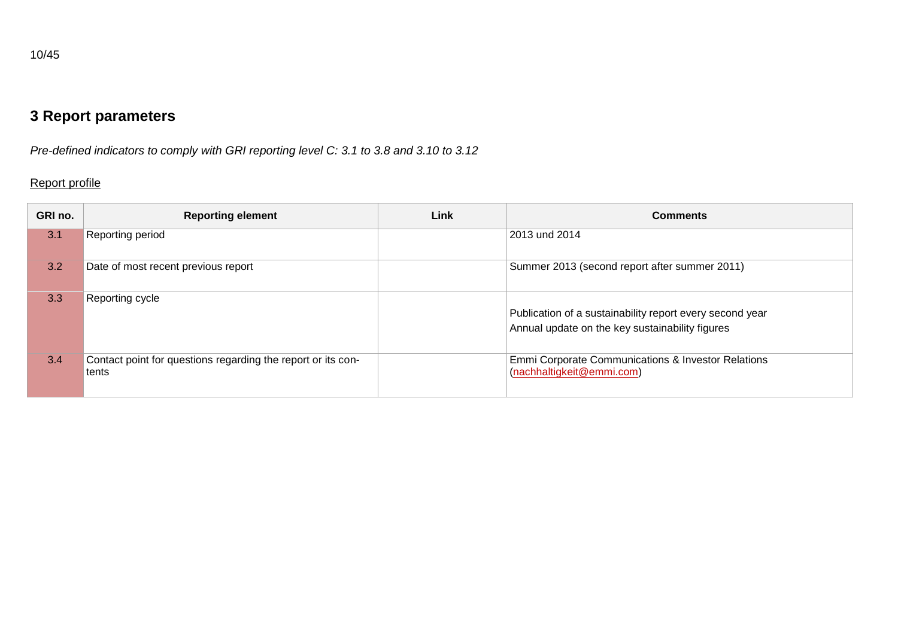# **3 Report parameters**

*Pre-defined indicators to comply with GRI reporting level C: 3.1 to 3.8 and 3.10 to 3.12*

# Report profile

| GRI no. | <b>Reporting element</b>                                              | <b>Link</b> | <b>Comments</b>                                                                                             |
|---------|-----------------------------------------------------------------------|-------------|-------------------------------------------------------------------------------------------------------------|
| 3.1     | Reporting period                                                      |             | 2013 und 2014                                                                                               |
| 3.2     | Date of most recent previous report                                   |             | Summer 2013 (second report after summer 2011)                                                               |
| 3.3     | Reporting cycle                                                       |             | Publication of a sustainability report every second year<br>Annual update on the key sustainability figures |
| 3.4     | Contact point for questions regarding the report or its con-<br>tents |             | Emmi Corporate Communications & Investor Relations<br>(nachhaltigkeit@emmi.com)                             |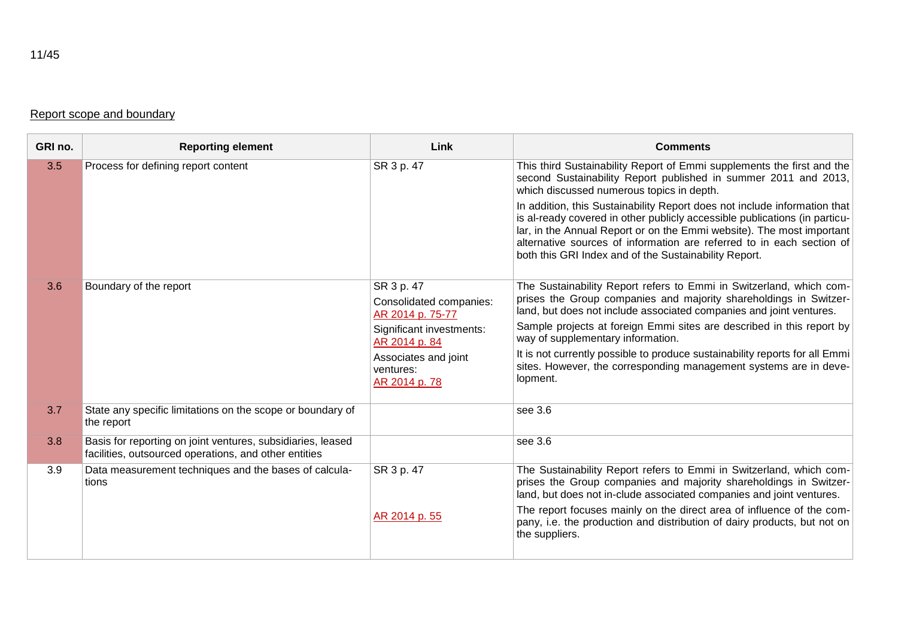### Report scope and boundary

| GRI no. | <b>Reporting element</b>                                                                                             | Link                                                                                                                                                         | <b>Comments</b>                                                                                                                                                                                                                                                                                                                                                                                                                                                                                                                                              |
|---------|----------------------------------------------------------------------------------------------------------------------|--------------------------------------------------------------------------------------------------------------------------------------------------------------|--------------------------------------------------------------------------------------------------------------------------------------------------------------------------------------------------------------------------------------------------------------------------------------------------------------------------------------------------------------------------------------------------------------------------------------------------------------------------------------------------------------------------------------------------------------|
| 3.5     | Process for defining report content                                                                                  | SR 3 p. 47                                                                                                                                                   | This third Sustainability Report of Emmi supplements the first and the<br>second Sustainability Report published in summer 2011 and 2013,<br>which discussed numerous topics in depth.<br>In addition, this Sustainability Report does not include information that<br>is al-ready covered in other publicly accessible publications (in particu-<br>lar, in the Annual Report or on the Emmi website). The most important<br>alternative sources of information are referred to in each section of<br>both this GRI Index and of the Sustainability Report. |
| 3.6     | Boundary of the report                                                                                               | SR 3 p. 47<br>Consolidated companies:<br>AR 2014 p. 75-77<br>Significant investments:<br>AR 2014 p. 84<br>Associates and joint<br>ventures:<br>AR 2014 p. 78 | The Sustainability Report refers to Emmi in Switzerland, which com-<br>prises the Group companies and majority shareholdings in Switzer-<br>land, but does not include associated companies and joint ventures.<br>Sample projects at foreign Emmi sites are described in this report by<br>way of supplementary information.<br>It is not currently possible to produce sustainability reports for all Emmi<br>sites. However, the corresponding management systems are in deve-<br>lopment.                                                                |
| 3.7     | State any specific limitations on the scope or boundary of<br>the report                                             |                                                                                                                                                              | see 3.6                                                                                                                                                                                                                                                                                                                                                                                                                                                                                                                                                      |
| 3.8     | Basis for reporting on joint ventures, subsidiaries, leased<br>facilities, outsourced operations, and other entities |                                                                                                                                                              | see 3.6                                                                                                                                                                                                                                                                                                                                                                                                                                                                                                                                                      |
| 3.9     | Data measurement techniques and the bases of calcula-<br>tions                                                       | SR 3 p. 47<br>AR 2014 p. 55                                                                                                                                  | The Sustainability Report refers to Emmi in Switzerland, which com-<br>prises the Group companies and majority shareholdings in Switzer-<br>land, but does not in-clude associated companies and joint ventures.<br>The report focuses mainly on the direct area of influence of the com-<br>pany, i.e. the production and distribution of dairy products, but not on<br>the suppliers.                                                                                                                                                                      |

11/45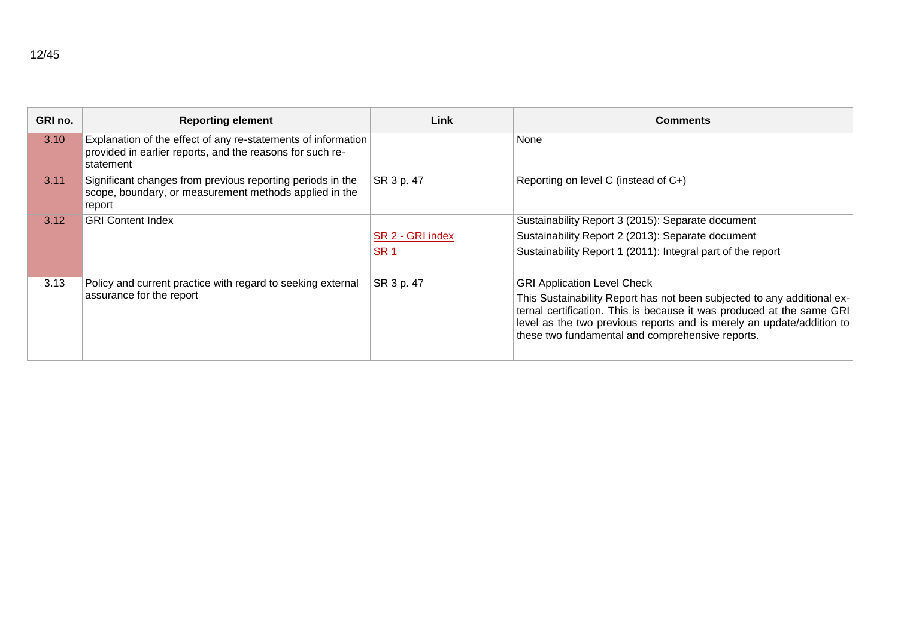| GRI no. | <b>Reporting element</b>                                                                                                                | Link             | <b>Comments</b>                                                                                                                                                                                                                                                               |
|---------|-----------------------------------------------------------------------------------------------------------------------------------------|------------------|-------------------------------------------------------------------------------------------------------------------------------------------------------------------------------------------------------------------------------------------------------------------------------|
| 3.10    | Explanation of the effect of any re-statements of information<br>provided in earlier reports, and the reasons for such re-<br>statement |                  | None                                                                                                                                                                                                                                                                          |
| 3.11    | Significant changes from previous reporting periods in the<br>scope, boundary, or measurement methods applied in the<br>report          | SR 3 p. 47       | Reporting on level C (instead of C+)                                                                                                                                                                                                                                          |
| 3.12    | <b>GRI Content Index</b>                                                                                                                |                  | Sustainability Report 3 (2015): Separate document                                                                                                                                                                                                                             |
|         |                                                                                                                                         | SR 2 - GRI index | Sustainability Report 2 (2013): Separate document                                                                                                                                                                                                                             |
|         |                                                                                                                                         | <b>SR1</b>       | Sustainability Report 1 (2011): Integral part of the report                                                                                                                                                                                                                   |
| 3.13    | Policy and current practice with regard to seeking external                                                                             | SR 3 p. 47       | <b>GRI Application Level Check</b>                                                                                                                                                                                                                                            |
|         | assurance for the report                                                                                                                |                  | This Sustainability Report has not been subjected to any additional ex-<br>ternal certification. This is because it was produced at the same GRI<br>level as the two previous reports and is merely an update/addition to<br>these two fundamental and comprehensive reports. |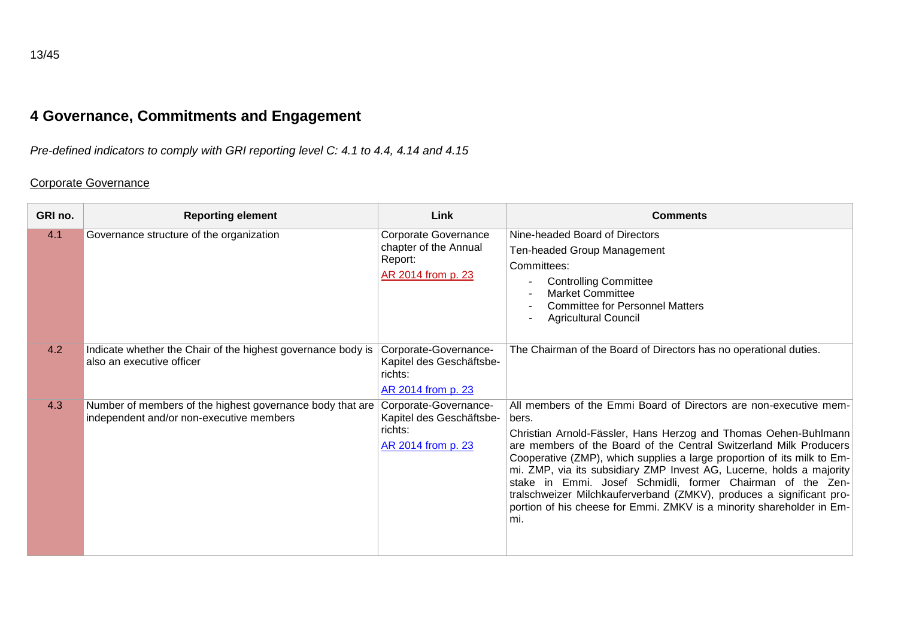# **4 Governance, Commitments and Engagement**

*Pre-defined indicators to comply with GRI reporting level C: 4.1 to 4.4, 4.14 and 4.15*

### Corporate Governance

| GRI no. | <b>Reporting element</b>                                                                              | Link                                                                                  | <b>Comments</b>                                                                                                                                                                                                                                                                                                                                                                                                                                                                                                                                                                              |
|---------|-------------------------------------------------------------------------------------------------------|---------------------------------------------------------------------------------------|----------------------------------------------------------------------------------------------------------------------------------------------------------------------------------------------------------------------------------------------------------------------------------------------------------------------------------------------------------------------------------------------------------------------------------------------------------------------------------------------------------------------------------------------------------------------------------------------|
| 4.1     | Governance structure of the organization                                                              | <b>Corporate Governance</b><br>chapter of the Annual<br>Report:<br>AR 2014 from p. 23 | Nine-headed Board of Directors<br>Ten-headed Group Management<br>Committees:<br><b>Controlling Committee</b><br><b>Market Committee</b><br><b>Committee for Personnel Matters</b><br><b>Agricultural Council</b>                                                                                                                                                                                                                                                                                                                                                                             |
| 4.2     | Indicate whether the Chair of the highest governance body is<br>also an executive officer             | Corporate-Governance-<br>Kapitel des Geschäftsbe-<br>richts:<br>AR 2014 from p. 23    | The Chairman of the Board of Directors has no operational duties.                                                                                                                                                                                                                                                                                                                                                                                                                                                                                                                            |
| 4.3     | Number of members of the highest governance body that are<br>independent and/or non-executive members | Corporate-Governance-<br>Kapitel des Geschäftsbe-<br>richts:<br>AR 2014 from p. 23    | All members of the Emmi Board of Directors are non-executive mem-<br>bers.<br>Christian Arnold-Fässler, Hans Herzog and Thomas Oehen-Buhlmann<br>are members of the Board of the Central Switzerland Milk Producers<br>Cooperative (ZMP), which supplies a large proportion of its milk to Em-<br>mi. ZMP, via its subsidiary ZMP Invest AG, Lucerne, holds a majority<br>stake in Emmi. Josef Schmidli, former Chairman of the Zen-<br>tralschweizer Milchkauferverband (ZMKV), produces a significant pro-<br>portion of his cheese for Emmi. ZMKV is a minority shareholder in Em-<br>mi. |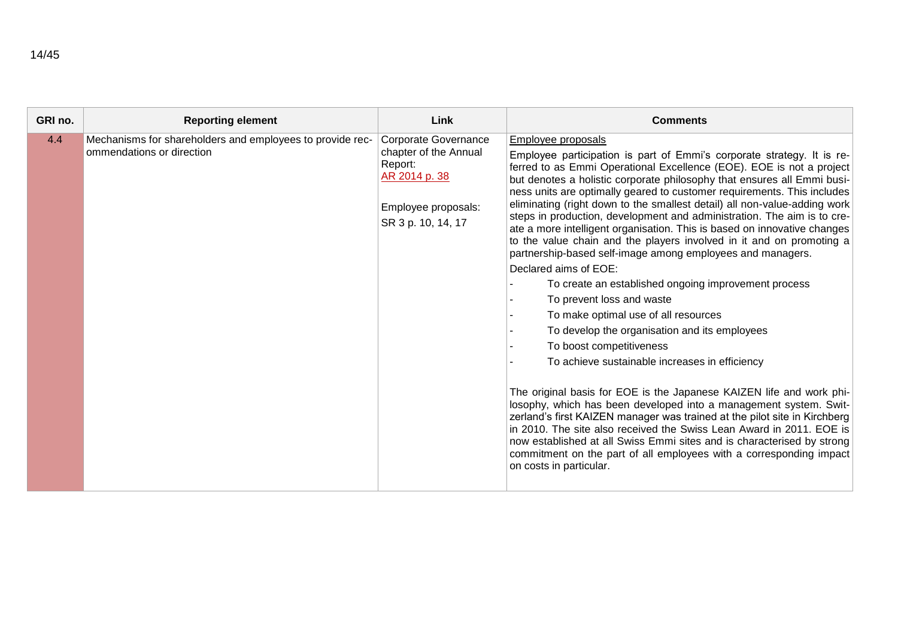| 4.4<br>Corporate Governance<br>Mechanisms for shareholders and employees to provide rec-<br>Employee proposals                                                                                                                                                                                                                                                                                                                                                                                                                                                                                                                                                                                                                                                                                                                                                                                                                                                                                                                                                                                                                                                                                                                                                                                                                                                                                                                                                                                                                                                                   |  |
|----------------------------------------------------------------------------------------------------------------------------------------------------------------------------------------------------------------------------------------------------------------------------------------------------------------------------------------------------------------------------------------------------------------------------------------------------------------------------------------------------------------------------------------------------------------------------------------------------------------------------------------------------------------------------------------------------------------------------------------------------------------------------------------------------------------------------------------------------------------------------------------------------------------------------------------------------------------------------------------------------------------------------------------------------------------------------------------------------------------------------------------------------------------------------------------------------------------------------------------------------------------------------------------------------------------------------------------------------------------------------------------------------------------------------------------------------------------------------------------------------------------------------------------------------------------------------------|--|
| ommendations or direction<br>chapter of the Annual<br>Employee participation is part of Emmi's corporate strategy. It is re-<br>Report:<br>ferred to as Emmi Operational Excellence (EOE). EOE is not a project<br>AR 2014 p. 38<br>but denotes a holistic corporate philosophy that ensures all Emmi busi-<br>ness units are optimally geared to customer requirements. This includes<br>eliminating (right down to the smallest detail) all non-value-adding work<br>Employee proposals:<br>steps in production, development and administration. The aim is to cre-<br>SR 3 p. 10, 14, 17<br>ate a more intelligent organisation. This is based on innovative changes<br>to the value chain and the players involved in it and on promoting a<br>partnership-based self-image among employees and managers.<br>Declared aims of EOE:<br>To create an established ongoing improvement process<br>To prevent loss and waste<br>To make optimal use of all resources<br>To develop the organisation and its employees<br>To boost competitiveness<br>To achieve sustainable increases in efficiency<br>The original basis for EOE is the Japanese KAIZEN life and work phi-<br>losophy, which has been developed into a management system. Swit-<br>zerland's first KAIZEN manager was trained at the pilot site in Kirchberg<br>in 2010. The site also received the Swiss Lean Award in 2011. EOE is<br>now established at all Swiss Emmi sites and is characterised by strong<br>commitment on the part of all employees with a corresponding impact<br>on costs in particular. |  |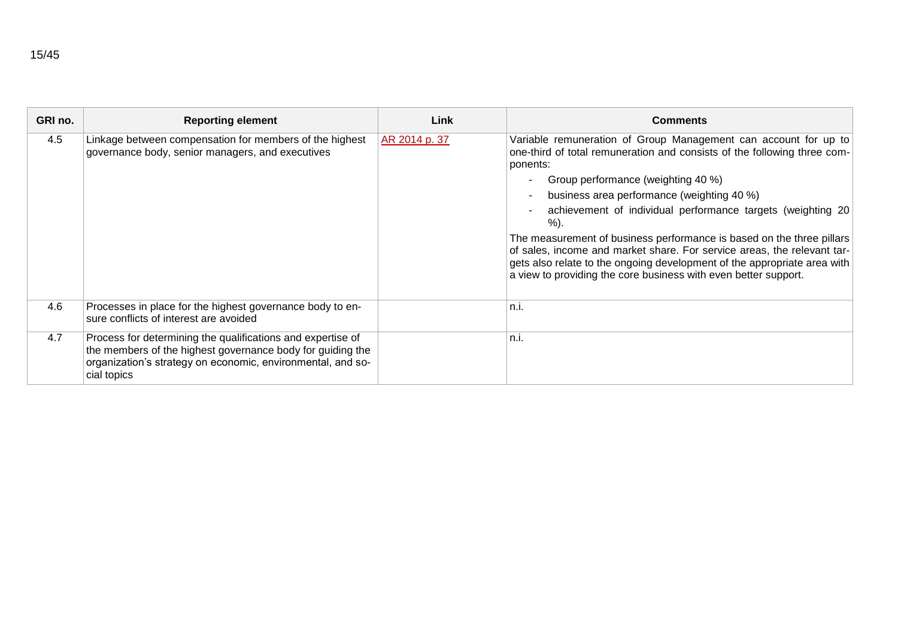| GRI no. | <b>Reporting element</b>                                                                                                                                                                                | Link          | <b>Comments</b>                                                                                                                                                                                                                                                                                 |
|---------|---------------------------------------------------------------------------------------------------------------------------------------------------------------------------------------------------------|---------------|-------------------------------------------------------------------------------------------------------------------------------------------------------------------------------------------------------------------------------------------------------------------------------------------------|
| 4.5     | Linkage between compensation for members of the highest<br>governance body, senior managers, and executives                                                                                             | AR 2014 p. 37 | Variable remuneration of Group Management can account for up to<br>one-third of total remuneration and consists of the following three com-<br>ponents:                                                                                                                                         |
|         |                                                                                                                                                                                                         |               | Group performance (weighting 40 %)<br>$\sim$                                                                                                                                                                                                                                                    |
|         |                                                                                                                                                                                                         |               | business area performance (weighting 40 %)<br>$\sim$                                                                                                                                                                                                                                            |
|         |                                                                                                                                                                                                         |               | achievement of individual performance targets (weighting 20<br>%).                                                                                                                                                                                                                              |
|         |                                                                                                                                                                                                         |               | The measurement of business performance is based on the three pillars<br>of sales, income and market share. For service areas, the relevant tar-<br>gets also relate to the ongoing development of the appropriate area with<br>a view to providing the core business with even better support. |
| 4.6     | Processes in place for the highest governance body to en-<br>sure conflicts of interest are avoided                                                                                                     |               | n.i.                                                                                                                                                                                                                                                                                            |
| 4.7     | Process for determining the qualifications and expertise of<br>the members of the highest governance body for guiding the<br>organization's strategy on economic, environmental, and so-<br>cial topics |               | n.i.                                                                                                                                                                                                                                                                                            |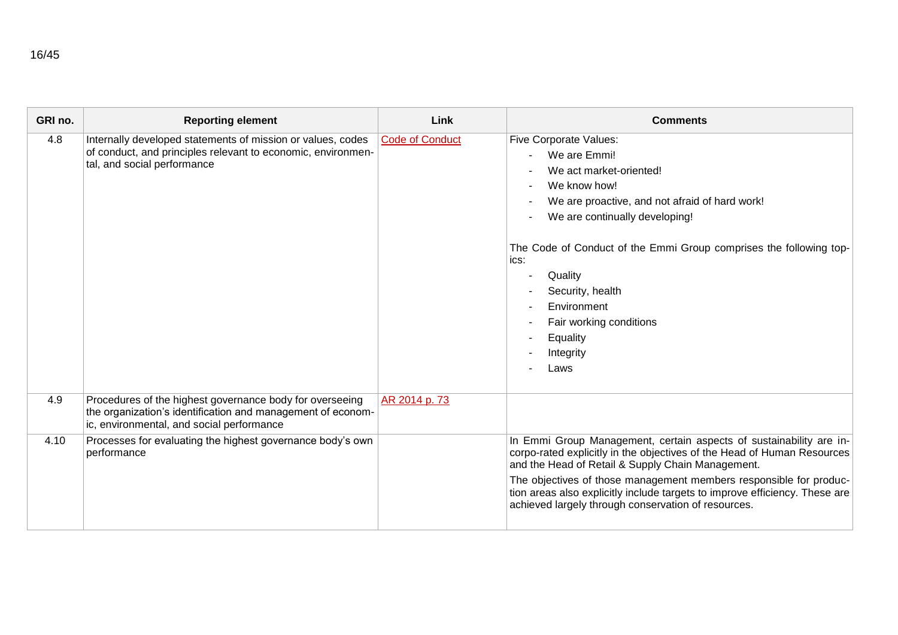| GRI no. | <b>Reporting element</b>                                                                                                                                             | Link                   | <b>Comments</b>                                                                                                                                                                                                                                                                                                                                                                                                                                                            |
|---------|----------------------------------------------------------------------------------------------------------------------------------------------------------------------|------------------------|----------------------------------------------------------------------------------------------------------------------------------------------------------------------------------------------------------------------------------------------------------------------------------------------------------------------------------------------------------------------------------------------------------------------------------------------------------------------------|
| 4.8     | Internally developed statements of mission or values, codes<br>of conduct, and principles relevant to economic, environmen-<br>tal, and social performance           | <b>Code of Conduct</b> | <b>Five Corporate Values:</b><br>We are Emmi!<br>$\blacksquare$<br>We act market-oriented!<br>We know how!<br>We are proactive, and not afraid of hard work!<br>$\overline{\phantom{a}}$<br>We are continually developing!<br>The Code of Conduct of the Emmi Group comprises the following top-<br>ics:<br>Quality<br>$\overline{\phantom{a}}$<br>Security, health<br>Environment<br>Fair working conditions<br>$\overline{\phantom{a}}$<br>Equality<br>Integrity<br>Laws |
| 4.9     | Procedures of the highest governance body for overseeing<br>the organization's identification and management of econom-<br>ic, environmental, and social performance | AR 2014 p. 73          |                                                                                                                                                                                                                                                                                                                                                                                                                                                                            |
| 4.10    | Processes for evaluating the highest governance body's own<br>performance                                                                                            |                        | In Emmi Group Management, certain aspects of sustainability are in-<br>corpo-rated explicitly in the objectives of the Head of Human Resources<br>and the Head of Retail & Supply Chain Management.<br>The objectives of those management members responsible for produc-<br>tion areas also explicitly include targets to improve efficiency. These are<br>achieved largely through conservation of resources.                                                            |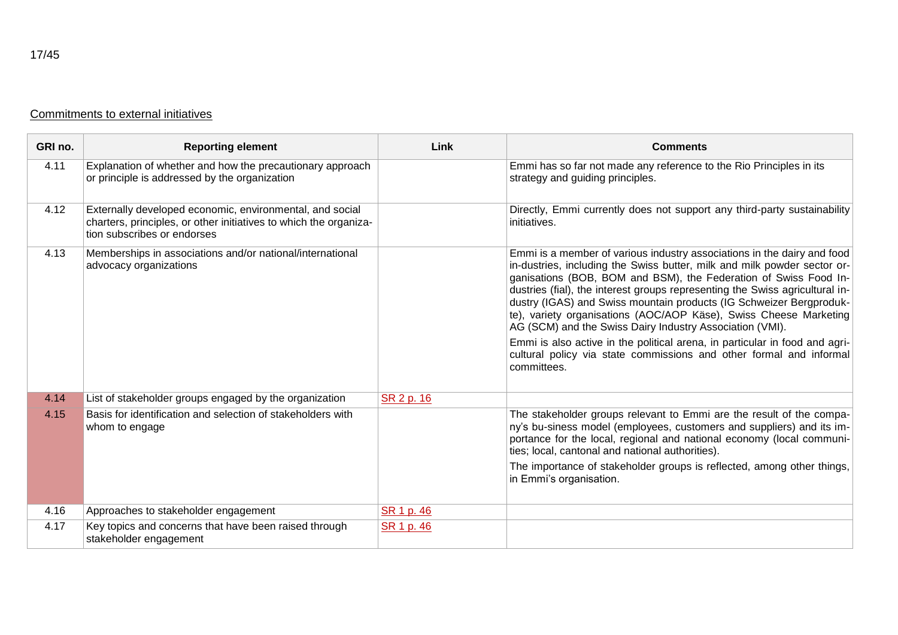|  | Commitments to external initiatives |  |  |  |
|--|-------------------------------------|--|--|--|
|--|-------------------------------------|--|--|--|

| GRI no. | <b>Reporting element</b>                                                                                                                                     | Link       | <b>Comments</b>                                                                                                                                                                                                                                                                                                                                                                                                                                                                                                                                                                                                                                                                      |
|---------|--------------------------------------------------------------------------------------------------------------------------------------------------------------|------------|--------------------------------------------------------------------------------------------------------------------------------------------------------------------------------------------------------------------------------------------------------------------------------------------------------------------------------------------------------------------------------------------------------------------------------------------------------------------------------------------------------------------------------------------------------------------------------------------------------------------------------------------------------------------------------------|
| 4.11    | Explanation of whether and how the precautionary approach<br>or principle is addressed by the organization                                                   |            | Emmi has so far not made any reference to the Rio Principles in its<br>strategy and guiding principles.                                                                                                                                                                                                                                                                                                                                                                                                                                                                                                                                                                              |
| 4.12    | Externally developed economic, environmental, and social<br>charters, principles, or other initiatives to which the organiza-<br>tion subscribes or endorses |            | Directly, Emmi currently does not support any third-party sustainability<br>initiatives.                                                                                                                                                                                                                                                                                                                                                                                                                                                                                                                                                                                             |
| 4.13    | Memberships in associations and/or national/international<br>advocacy organizations                                                                          |            | Emmi is a member of various industry associations in the dairy and food<br>in-dustries, including the Swiss butter, milk and milk powder sector or-<br>ganisations (BOB, BOM and BSM), the Federation of Swiss Food In-<br>dustries (fial), the interest groups representing the Swiss agricultural in-<br>dustry (IGAS) and Swiss mountain products (IG Schweizer Bergproduk-<br>te), variety organisations (AOC/AOP Käse), Swiss Cheese Marketing<br>AG (SCM) and the Swiss Dairy Industry Association (VMI).<br>Emmi is also active in the political arena, in particular in food and agri-<br>cultural policy via state commissions and other formal and informal<br>committees. |
| 4.14    | List of stakeholder groups engaged by the organization                                                                                                       | SR 2 p. 16 |                                                                                                                                                                                                                                                                                                                                                                                                                                                                                                                                                                                                                                                                                      |
| 4.15    | Basis for identification and selection of stakeholders with<br>whom to engage                                                                                |            | The stakeholder groups relevant to Emmi are the result of the compa-<br>ny's bu-siness model (employees, customers and suppliers) and its im-<br>portance for the local, regional and national economy (local communi-<br>ties; local, cantonal and national authorities).                                                                                                                                                                                                                                                                                                                                                                                                           |
|         |                                                                                                                                                              |            | The importance of stakeholder groups is reflected, among other things,<br>in Emmi's organisation.                                                                                                                                                                                                                                                                                                                                                                                                                                                                                                                                                                                    |
| 4.16    | Approaches to stakeholder engagement                                                                                                                         | SR 1 p. 46 |                                                                                                                                                                                                                                                                                                                                                                                                                                                                                                                                                                                                                                                                                      |
| 4.17    | Key topics and concerns that have been raised through<br>stakeholder engagement                                                                              | SR 1 p. 46 |                                                                                                                                                                                                                                                                                                                                                                                                                                                                                                                                                                                                                                                                                      |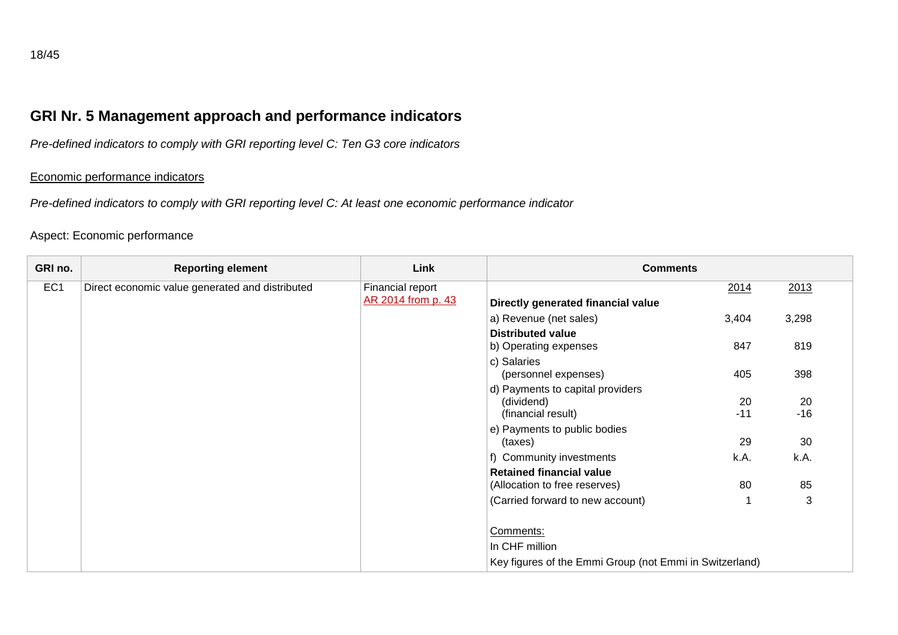# **GRI Nr. 5 Management approach and performance indicators**

*Pre-defined indicators to comply with GRI reporting level C: Ten G3 core indicators*

#### Economic performance indicators

*Pre-defined indicators to comply with GRI reporting level C: At least one economic performance indicator*

#### Aspect: Economic performance

| GRI no.         | <b>Reporting element</b>                        | Link                                   | <b>Comments</b>                                         |       |       |
|-----------------|-------------------------------------------------|----------------------------------------|---------------------------------------------------------|-------|-------|
| EC <sub>1</sub> | Direct economic value generated and distributed | Financial report<br>AR 2014 from p. 43 | Directly generated financial value                      | 2014  | 2013  |
|                 |                                                 |                                        | a) Revenue (net sales)                                  | 3,404 | 3,298 |
|                 |                                                 |                                        | <b>Distributed value</b>                                |       |       |
|                 |                                                 |                                        | b) Operating expenses                                   | 847   | 819   |
|                 |                                                 |                                        | c) Salaries                                             |       |       |
|                 |                                                 |                                        | (personnel expenses)                                    | 405   | 398   |
|                 |                                                 |                                        | d) Payments to capital providers                        |       |       |
|                 |                                                 |                                        | (dividend)                                              | 20    | 20    |
|                 |                                                 |                                        | (financial result)                                      | $-11$ | $-16$ |
|                 |                                                 |                                        | e) Payments to public bodies                            |       |       |
|                 |                                                 |                                        | (taxes)                                                 | 29    | 30    |
|                 |                                                 |                                        | f) Community investments                                | k.A.  | k.A.  |
|                 |                                                 |                                        | <b>Retained financial value</b>                         |       |       |
|                 |                                                 |                                        | (Allocation to free reserves)                           | 80    | 85    |
|                 |                                                 |                                        | (Carried forward to new account)                        |       | 3     |
|                 |                                                 |                                        |                                                         |       |       |
|                 |                                                 |                                        | Comments:                                               |       |       |
|                 |                                                 |                                        | In CHF million                                          |       |       |
|                 |                                                 |                                        | Key figures of the Emmi Group (not Emmi in Switzerland) |       |       |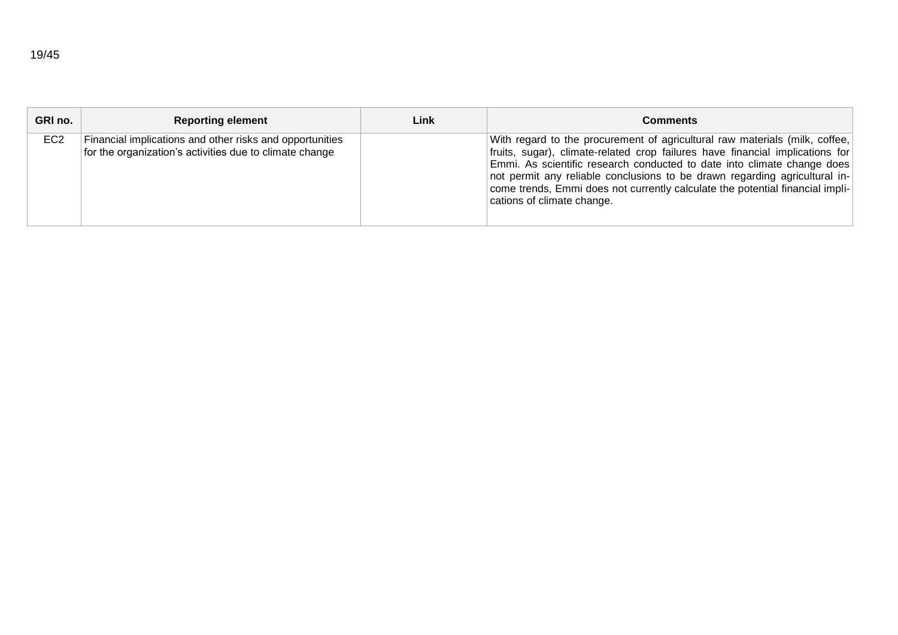| GRI no.         | <b>Reporting element</b>                                                                                            | Link | <b>Comments</b>                                                                                                                                                                                                                                                                                                                                                                                                                      |
|-----------------|---------------------------------------------------------------------------------------------------------------------|------|--------------------------------------------------------------------------------------------------------------------------------------------------------------------------------------------------------------------------------------------------------------------------------------------------------------------------------------------------------------------------------------------------------------------------------------|
| EC <sub>2</sub> | Financial implications and other risks and opportunities<br>for the organization's activities due to climate change |      | With regard to the procurement of agricultural raw materials (milk, coffee,<br>fruits, sugar), climate-related crop failures have financial implications for<br>Emmi. As scientific research conducted to date into climate change does<br>not permit any reliable conclusions to be drawn regarding agricultural in-<br>come trends, Emmi does not currently calculate the potential financial impli-<br>cations of climate change. |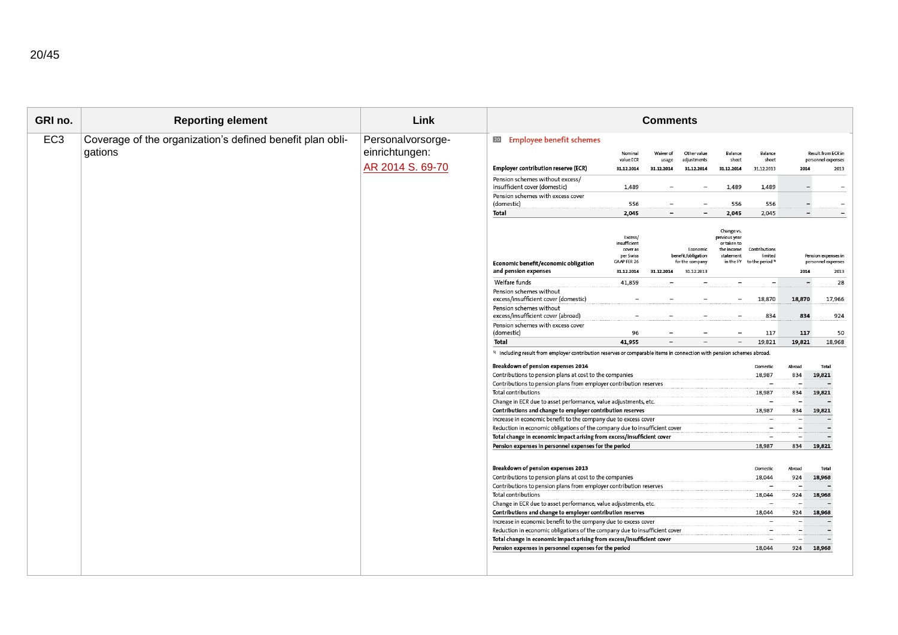| GRI no.         | <b>Reporting element</b>                                             | Link                                                    |                                                                                                                                                                                                                                                                                                                                                                                                                                                                                                                                                                                                                                                                                                                                                                                                                                                                                                                                                                                                                                                                                                                                                                                                                                                                                                                                                                                                                                                                                                                                                                                                                                                             |                                                                                                                                                                        | <b>Comments</b>                                                                                                                    |                                                                                                                                                                                                                             |                                                                                                                                                                                                                                  |                                                                                                                                                                                                                                                                                                                                                                                                                                                                        |                                                                                                                                                                                                                                     |                                                                                                                                                                                                                                                                                                                                                                                  |
|-----------------|----------------------------------------------------------------------|---------------------------------------------------------|-------------------------------------------------------------------------------------------------------------------------------------------------------------------------------------------------------------------------------------------------------------------------------------------------------------------------------------------------------------------------------------------------------------------------------------------------------------------------------------------------------------------------------------------------------------------------------------------------------------------------------------------------------------------------------------------------------------------------------------------------------------------------------------------------------------------------------------------------------------------------------------------------------------------------------------------------------------------------------------------------------------------------------------------------------------------------------------------------------------------------------------------------------------------------------------------------------------------------------------------------------------------------------------------------------------------------------------------------------------------------------------------------------------------------------------------------------------------------------------------------------------------------------------------------------------------------------------------------------------------------------------------------------------|------------------------------------------------------------------------------------------------------------------------------------------------------------------------|------------------------------------------------------------------------------------------------------------------------------------|-----------------------------------------------------------------------------------------------------------------------------------------------------------------------------------------------------------------------------|----------------------------------------------------------------------------------------------------------------------------------------------------------------------------------------------------------------------------------|------------------------------------------------------------------------------------------------------------------------------------------------------------------------------------------------------------------------------------------------------------------------------------------------------------------------------------------------------------------------------------------------------------------------------------------------------------------------|-------------------------------------------------------------------------------------------------------------------------------------------------------------------------------------------------------------------------------------|----------------------------------------------------------------------------------------------------------------------------------------------------------------------------------------------------------------------------------------------------------------------------------------------------------------------------------------------------------------------------------|
| EC <sub>3</sub> | Coverage of the organization's defined benefit plan obli-<br>gations | Personalvorsorge-<br>einrichtungen:<br>AR 2014 S. 69-70 | <b>20</b> Employee benefit schemes<br><b>Employer contribution reserve (ECR)</b><br>Pension schemes without excess/<br>insufficient cover (domestic)<br>Pension schemes with excess cover<br>(domestic)<br>Total<br>Economic benefit/economic obligation<br>and pension expenses<br>Welfare funds<br>Pension schemes without<br>excess/insufficient cover (domestic)<br>Pension schemes without<br>excess/insufficient cover (abroad)<br>Pension schemes with excess cover<br>(domestic)<br>Total<br><sup>1)</sup> Including result from employer contribution reserves or comparable items in connection with pension schemes abroad.<br>Breakdown of pension expenses 2014<br>Contributions to pension plans at cost to the companies<br>Contributions to pension plans from employer contribution reserves<br>Total contributions<br>Change in ECR due to asset performance, value adjustments, etc.<br>Contributions and change to employer contribution reserves<br>Increase in economic benefit to the company due to excess cover<br>Reduction in economic obligations of the company due to insufficient cover<br>Total change in economic impact arising from excess/insufficient cover<br>Pension expenses in personnel expenses for the period<br>Breakdown of pension expenses 2013<br>Contributions to pension plans at cost to the companies<br>Contributions to pension plans from employer contribution reserves<br>Total contributions<br>Change in ECR due to asset performance, value adjustments, etc.<br>Contributions and change to employer contribution reserves<br>Increase in economic benefit to the company due to excess cover | Nominal<br>value ECR<br>31.12.2014<br>1,489<br>556<br>2,045<br>Excess/<br>insufficient<br>cover as<br>per Swiss<br>GAAP FER 26<br>31.12.2014<br>41,859<br>96<br>41,955 | Waiver of<br>usage<br>31.12.2014<br>$\overline{\phantom{0}}$<br>$\overline{\phantom{0}}$<br>31.12.2014<br>$\overline{\phantom{0}}$ | Other value<br>adjustments<br>31.12.2014<br>$\overline{\phantom{a}}$<br>$\overline{\phantom{a}}$<br>Economic<br>benefit/obligation<br>for the company<br>31.12.2013<br>$\overline{\phantom{0}}$<br>$\overline{\phantom{a}}$ | Balance<br>sheet<br>31.12.2014<br>1,489<br>556<br>2,045<br>Change vs.<br>previous year<br>or taken to<br>the income<br>statemen<br>in the FY<br>$\overline{\phantom{0}}$<br>$\overline{\phantom{a}}$<br>$\overline{\phantom{a}}$ | Balance<br>sheet<br>31.12.2013<br>1,489<br>556<br>2,045<br>Contribution<br>limited<br>to the period 1)<br>18,870<br>834<br>117<br>19,821<br>Domestic<br>18,987<br>$\overline{\phantom{a}}$<br>18,987<br>$\overline{\phantom{a}}$<br>18,987<br>$\overline{\phantom{a}}$<br>$\overline{\phantom{a}}$<br>$\overline{\phantom{a}}$<br>18,987<br>Domestic<br>18,044<br>$\overline{\phantom{a}}$<br>18,044<br>$\overline{\phantom{a}}$<br>18,044<br>$\overline{\phantom{0}}$ | 2014<br>$\overline{\phantom{a}}$<br>$\overline{\phantom{0}}$<br>$\overline{\phantom{a}}$<br>2014<br>$\overline{\phantom{a}}$<br>18,870<br>834<br>117<br>19,821<br>Abroad<br>834<br>834<br>834<br>834<br>Abroad<br>924<br>924<br>924 | Result from ECR in<br>personnel expenses<br>2013<br>$\overline{\phantom{a}}$<br>$\overline{\phantom{0}}$<br>$\overline{\phantom{0}}$<br>Pension expenses in<br>personnel expenses<br>2013<br>28<br>17,966<br>924<br>50<br>18,968<br>Total<br>19,821<br>19,821<br>19,821<br>$\overline{\phantom{0}}$<br>$\overline{\phantom{0}}$<br>19,821<br>Total<br>18,968<br>18,968<br>18,968 |
|                 |                                                                      |                                                         | Reduction in economic obligations of the company due to insufficient cover<br>Total change in economic impact arising from excess/insufficient cover<br>Pension expenses in personnel expenses for the period                                                                                                                                                                                                                                                                                                                                                                                                                                                                                                                                                                                                                                                                                                                                                                                                                                                                                                                                                                                                                                                                                                                                                                                                                                                                                                                                                                                                                                               |                                                                                                                                                                        |                                                                                                                                    |                                                                                                                                                                                                                             |                                                                                                                                                                                                                                  | $\overline{\phantom{0}}$<br>$\overline{\phantom{a}}$<br>18,044                                                                                                                                                                                                                                                                                                                                                                                                         | 924                                                                                                                                                                                                                                 | $\overline{\phantom{0}}$<br>18,968                                                                                                                                                                                                                                                                                                                                               |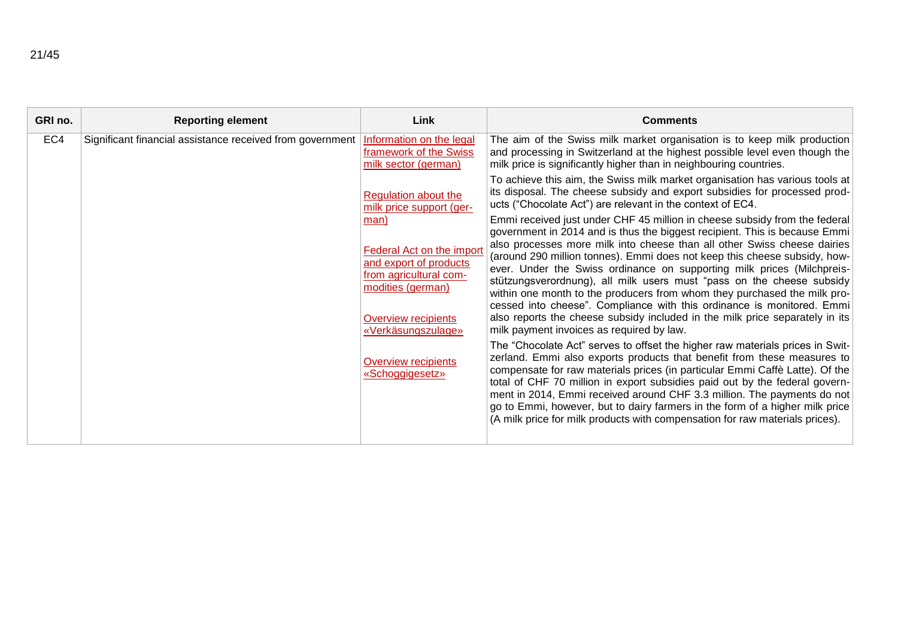| <b>Reporting element</b> | Link                                                                                                                                                                                              | <b>Comments</b>                                                                                                                                                                                                                                                                                                                                                                                                                                                                                                                                                                                                                                                                                                                                                                                                                                                                                                                                                                                                                                                                                                                                                                                                                                                                                                               |
|--------------------------|---------------------------------------------------------------------------------------------------------------------------------------------------------------------------------------------------|-------------------------------------------------------------------------------------------------------------------------------------------------------------------------------------------------------------------------------------------------------------------------------------------------------------------------------------------------------------------------------------------------------------------------------------------------------------------------------------------------------------------------------------------------------------------------------------------------------------------------------------------------------------------------------------------------------------------------------------------------------------------------------------------------------------------------------------------------------------------------------------------------------------------------------------------------------------------------------------------------------------------------------------------------------------------------------------------------------------------------------------------------------------------------------------------------------------------------------------------------------------------------------------------------------------------------------|
|                          | Information on the legal<br>framework of the Swiss<br>milk sector (german)                                                                                                                        | The aim of the Swiss milk market organisation is to keep milk production<br>and processing in Switzerland at the highest possible level even though the<br>milk price is significantly higher than in neighbouring countries.                                                                                                                                                                                                                                                                                                                                                                                                                                                                                                                                                                                                                                                                                                                                                                                                                                                                                                                                                                                                                                                                                                 |
|                          | Regulation about the<br>milk price support (ger-                                                                                                                                                  | To achieve this aim, the Swiss milk market organisation has various tools at<br>its disposal. The cheese subsidy and export subsidies for processed prod-<br>ucts ("Chocolate Act") are relevant in the context of EC4.                                                                                                                                                                                                                                                                                                                                                                                                                                                                                                                                                                                                                                                                                                                                                                                                                                                                                                                                                                                                                                                                                                       |
|                          | man)<br>Federal Act on the import<br>and export of products<br>from agricultural com-<br>modities (german)<br>Overview recipients<br>«Verkäsungszulage»<br>Overview recipients<br>«Schoggigesetz» | Emmi received just under CHF 45 million in cheese subsidy from the federal<br>government in 2014 and is thus the biggest recipient. This is because Emmi<br>also processes more milk into cheese than all other Swiss cheese dairies<br>(around 290 million tonnes). Emmi does not keep this cheese subsidy, how-<br>ever. Under the Swiss ordinance on supporting milk prices (Milchpreis-<br>stützungsverordnung), all milk users must "pass on the cheese subsidy<br>within one month to the producers from whom they purchased the milk pro-<br>cessed into cheese". Compliance with this ordinance is monitored. Emmi<br>also reports the cheese subsidy included in the milk price separately in its<br>milk payment invoices as required by law.<br>The "Chocolate Act" serves to offset the higher raw materials prices in Swit-<br>zerland. Emmi also exports products that benefit from these measures to<br>compensate for raw materials prices (in particular Emmi Caffè Latte). Of the<br>total of CHF 70 million in export subsidies paid out by the federal govern-<br>ment in 2014, Emmi received around CHF 3.3 million. The payments do not<br>go to Emmi, however, but to dairy farmers in the form of a higher milk price<br>(A milk price for milk products with compensation for raw materials prices). |
|                          |                                                                                                                                                                                                   | Significant financial assistance received from government                                                                                                                                                                                                                                                                                                                                                                                                                                                                                                                                                                                                                                                                                                                                                                                                                                                                                                                                                                                                                                                                                                                                                                                                                                                                     |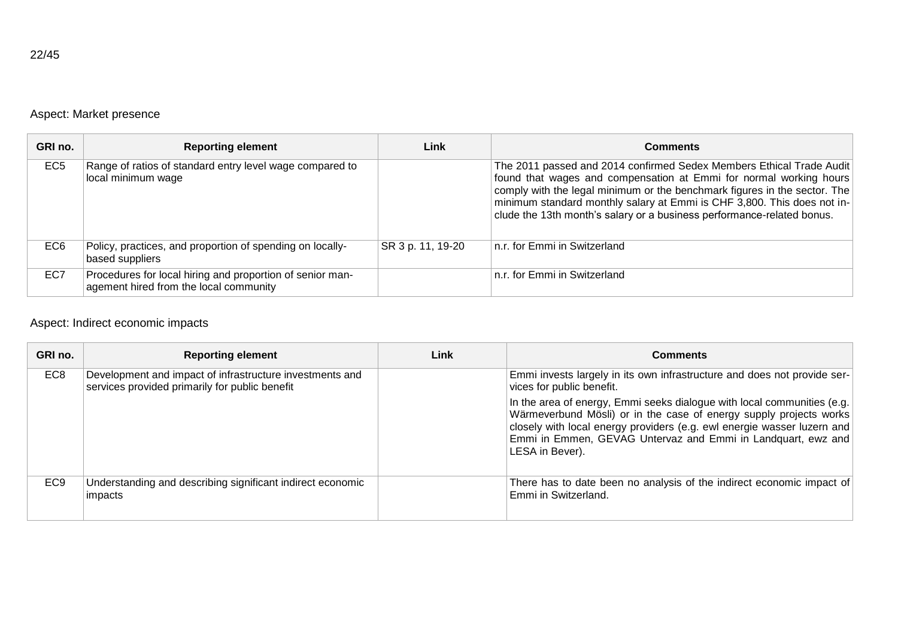# Aspect: Market presence

| GRI no.         | <b>Reporting element</b>                                                                            | Link              | <b>Comments</b>                                                                                                                                                                                                                                                                                                                                                              |
|-----------------|-----------------------------------------------------------------------------------------------------|-------------------|------------------------------------------------------------------------------------------------------------------------------------------------------------------------------------------------------------------------------------------------------------------------------------------------------------------------------------------------------------------------------|
| EC <sub>5</sub> | Range of ratios of standard entry level wage compared to<br>local minimum wage                      |                   | The 2011 passed and 2014 confirmed Sedex Members Ethical Trade Audit<br>found that wages and compensation at Emmi for normal working hours<br>comply with the legal minimum or the benchmark figures in the sector. The<br>minimum standard monthly salary at Emmi is CHF 3,800. This does not in-<br>clude the 13th month's salary or a business performance-related bonus. |
| EC <sub>6</sub> | Policy, practices, and proportion of spending on locally-<br>based suppliers                        | SR 3 p. 11, 19-20 | n.r. for Emmi in Switzerland                                                                                                                                                                                                                                                                                                                                                 |
| EC7             | Procedures for local hiring and proportion of senior man-<br>agement hired from the local community |                   | n.r. for Emmi in Switzerland                                                                                                                                                                                                                                                                                                                                                 |

# Aspect: Indirect economic impacts

| GRI no.         | <b>Reporting element</b>                                                                                   | Link | <b>Comments</b>                                                                                                                                                                                                                                                                                             |
|-----------------|------------------------------------------------------------------------------------------------------------|------|-------------------------------------------------------------------------------------------------------------------------------------------------------------------------------------------------------------------------------------------------------------------------------------------------------------|
| EC <sub>8</sub> | Development and impact of infrastructure investments and<br>services provided primarily for public benefit |      | Emmi invests largely in its own infrastructure and does not provide ser-<br>vices for public benefit.                                                                                                                                                                                                       |
|                 |                                                                                                            |      | In the area of energy, Emmi seeks dialogue with local communities (e.g.<br>Wärmeverbund Mösli) or in the case of energy supply projects works<br>closely with local energy providers (e.g. ewl energie wasser luzern and<br>Emmi in Emmen, GEVAG Untervaz and Emmi in Landquart, ewz and<br>LESA in Bever). |
| EC <sub>9</sub> | Understanding and describing significant indirect economic<br>impacts                                      |      | There has to date been no analysis of the indirect economic impact of<br>Emmi in Switzerland.                                                                                                                                                                                                               |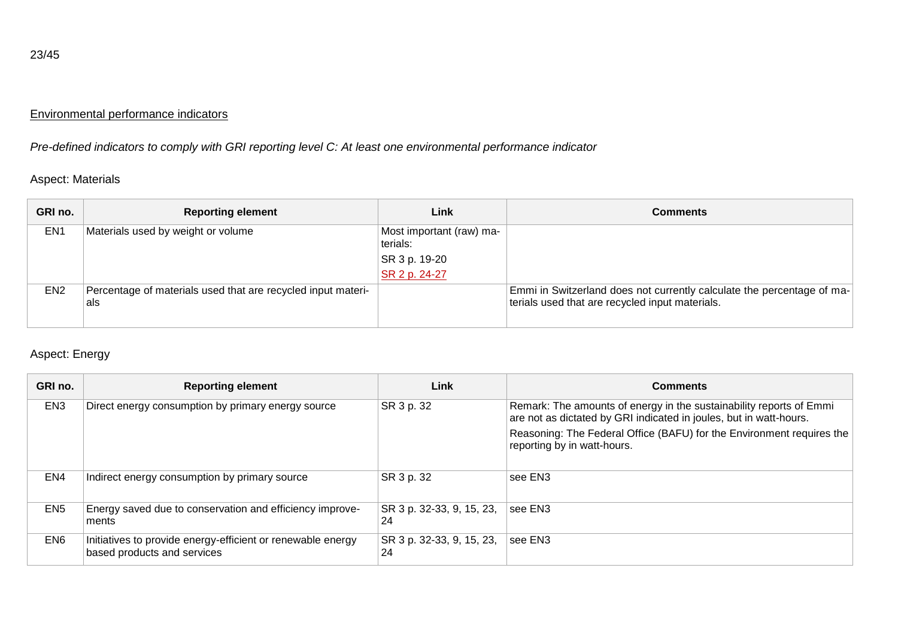### Environmental performance indicators

*Pre-defined indicators to comply with GRI reporting level C: At least one environmental performance indicator*

### Aspect: Materials

| GRI no.         | <b>Reporting element</b>                                            | Link                                 | <b>Comments</b>                                                                                                           |
|-----------------|---------------------------------------------------------------------|--------------------------------------|---------------------------------------------------------------------------------------------------------------------------|
| EN <sub>1</sub> | Materials used by weight or volume                                  | Most important (raw) ma-<br>terials: |                                                                                                                           |
|                 |                                                                     | SR 3 p. 19-20                        |                                                                                                                           |
|                 |                                                                     | SR 2 p. 24-27                        |                                                                                                                           |
| EN <sub>2</sub> | Percentage of materials used that are recycled input materi-<br>als |                                      | Emmi in Switzerland does not currently calculate the percentage of ma-<br>terials used that are recycled input materials. |

### Aspect: Energy

| GRI no.         | <b>Reporting element</b>                                                                   | Link                            | <b>Comments</b>                                                                                                                           |
|-----------------|--------------------------------------------------------------------------------------------|---------------------------------|-------------------------------------------------------------------------------------------------------------------------------------------|
| EN <sub>3</sub> | Direct energy consumption by primary energy source                                         | SR 3 p. 32                      | Remark: The amounts of energy in the sustainability reports of Emmi<br>are not as dictated by GRI indicated in joules, but in watt-hours. |
|                 |                                                                                            |                                 | Reasoning: The Federal Office (BAFU) for the Environment requires the<br>reporting by in watt-hours.                                      |
| EN4             | Indirect energy consumption by primary source                                              | SR 3 p. 32                      | see EN3                                                                                                                                   |
| EN <sub>5</sub> | Energy saved due to conservation and efficiency improve-<br>ments                          | SR 3 p. 32-33, 9, 15, 23,<br>24 | see EN3                                                                                                                                   |
| EN6             | Initiatives to provide energy-efficient or renewable energy<br>based products and services | SR 3 p. 32-33, 9, 15, 23,<br>24 | lsee EN3                                                                                                                                  |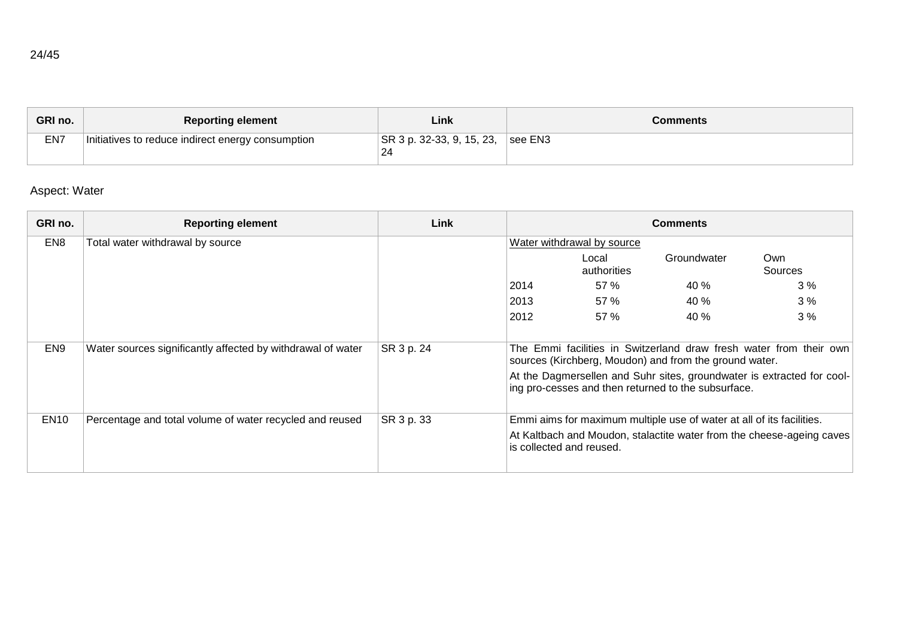| GRI no. | <b>Reporting element</b>                          | Link                            | Comments |
|---------|---------------------------------------------------|---------------------------------|----------|
| EN7     | Initiatives to reduce indirect energy consumption | SR 3 p. 32-33, 9, 15, 23,<br>24 | lsee EN3 |

# Aspect: Water

| GRI no.         | <b>Reporting element</b>                                    | Link       | <b>Comments</b>                                                                                                              |                            |                                                                       |                                                                        |
|-----------------|-------------------------------------------------------------|------------|------------------------------------------------------------------------------------------------------------------------------|----------------------------|-----------------------------------------------------------------------|------------------------------------------------------------------------|
| EN <sub>8</sub> | Total water withdrawal by source                            |            |                                                                                                                              | Water withdrawal by source |                                                                       |                                                                        |
|                 |                                                             |            |                                                                                                                              | Local<br>authorities       | Groundwater                                                           | Own<br>Sources                                                         |
|                 |                                                             |            | 2014                                                                                                                         | 57 %                       | 40%                                                                   | 3%                                                                     |
|                 |                                                             |            | 2013                                                                                                                         | 57 %                       | 40 %                                                                  | 3%                                                                     |
|                 |                                                             |            | 2012                                                                                                                         | 57 %                       | 40 %                                                                  | 3%                                                                     |
|                 |                                                             |            |                                                                                                                              |                            |                                                                       |                                                                        |
| EN <sub>9</sub> | Water sources significantly affected by withdrawal of water | SR 3 p. 24 | The Emmi facilities in Switzerland draw fresh water from their own<br>sources (Kirchberg, Moudon) and from the ground water. |                            |                                                                       |                                                                        |
|                 |                                                             |            |                                                                                                                              |                            | ing pro-cesses and then returned to the subsurface.                   | At the Dagmersellen and Suhr sites, groundwater is extracted for cool- |
| <b>EN10</b>     | Percentage and total volume of water recycled and reused    | SR 3 p. 33 |                                                                                                                              |                            | Emmi aims for maximum multiple use of water at all of its facilities. |                                                                        |
|                 |                                                             |            |                                                                                                                              | is collected and reused.   |                                                                       | At Kaltbach and Moudon, stalactite water from the cheese-ageing caves  |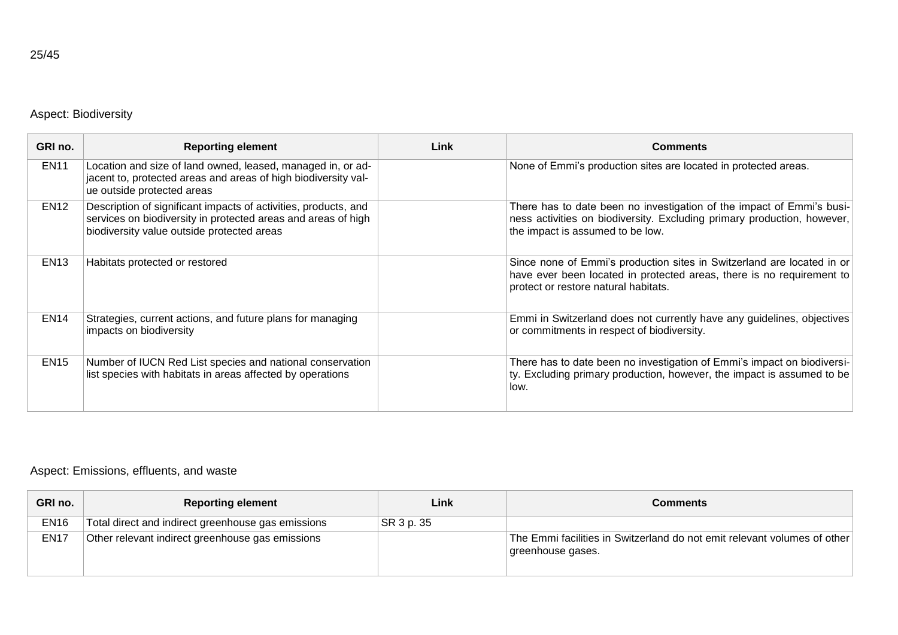# Aspect: Biodiversity

| GRI no.     | <b>Reporting element</b>                                                                                                                                                       | Link | <b>Comments</b>                                                                                                                                                                         |
|-------------|--------------------------------------------------------------------------------------------------------------------------------------------------------------------------------|------|-----------------------------------------------------------------------------------------------------------------------------------------------------------------------------------------|
| <b>EN11</b> | Location and size of land owned, leased, managed in, or ad-<br>jacent to, protected areas and areas of high biodiversity val-<br>ue outside protected areas                    |      | None of Emmi's production sites are located in protected areas.                                                                                                                         |
| <b>EN12</b> | Description of significant impacts of activities, products, and<br>services on biodiversity in protected areas and areas of high<br>biodiversity value outside protected areas |      | There has to date been no investigation of the impact of Emmi's busi-<br>ness activities on biodiversity. Excluding primary production, however,<br>the impact is assumed to be low.    |
| <b>EN13</b> | Habitats protected or restored                                                                                                                                                 |      | Since none of Emmi's production sites in Switzerland are located in or<br>have ever been located in protected areas, there is no requirement to<br>protect or restore natural habitats. |
| <b>EN14</b> | Strategies, current actions, and future plans for managing<br>impacts on biodiversity                                                                                          |      | Emmi in Switzerland does not currently have any guidelines, objectives<br>or commitments in respect of biodiversity.                                                                    |
| <b>EN15</b> | Number of IUCN Red List species and national conservation<br>list species with habitats in areas affected by operations                                                        |      | There has to date been no investigation of Emmi's impact on biodiversi-<br>ty. Excluding primary production, however, the impact is assumed to be<br>low.                               |

### Aspect: Emissions, effluents, and waste

| GRI no.     | <b>Reporting element</b>                           | Link       | <b>Comments</b>                                                                               |
|-------------|----------------------------------------------------|------------|-----------------------------------------------------------------------------------------------|
| <b>EN16</b> | Total direct and indirect greenhouse gas emissions | SR 3 p. 35 |                                                                                               |
| <b>EN17</b> | Other relevant indirect greenhouse gas emissions   |            | The Emmi facilities in Switzerland do not emit relevant volumes of other<br>greenhouse gases. |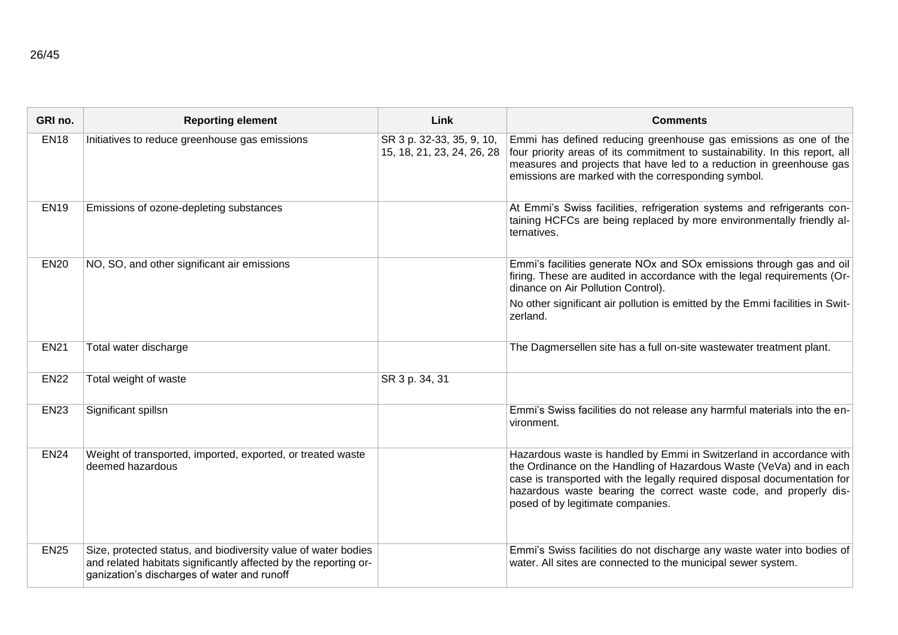| GRI no.     | <b>Reporting element</b>                                                                                                                                                          | Link                                                    | <b>Comments</b>                                                                                                                                                                                                                                                                                                                   |
|-------------|-----------------------------------------------------------------------------------------------------------------------------------------------------------------------------------|---------------------------------------------------------|-----------------------------------------------------------------------------------------------------------------------------------------------------------------------------------------------------------------------------------------------------------------------------------------------------------------------------------|
| <b>EN18</b> | Initiatives to reduce greenhouse gas emissions                                                                                                                                    | SR 3 p. 32-33, 35, 9, 10,<br>15, 18, 21, 23, 24, 26, 28 | Emmi has defined reducing greenhouse gas emissions as one of the<br>four priority areas of its commitment to sustainability. In this report, all<br>measures and projects that have led to a reduction in greenhouse gas<br>emissions are marked with the corresponding symbol.                                                   |
| <b>EN19</b> | Emissions of ozone-depleting substances                                                                                                                                           |                                                         | At Emmi's Swiss facilities, refrigeration systems and refrigerants con-<br>taining HCFCs are being replaced by more environmentally friendly al-<br>ternatives.                                                                                                                                                                   |
| <b>EN20</b> | NO, SO, and other significant air emissions                                                                                                                                       |                                                         | Emmi's facilities generate NOx and SOx emissions through gas and oil<br>firing. These are audited in accordance with the legal requirements (Or-<br>dinance on Air Pollution Control).                                                                                                                                            |
|             |                                                                                                                                                                                   |                                                         | No other significant air pollution is emitted by the Emmi facilities in Swit-<br>zerland.                                                                                                                                                                                                                                         |
| <b>EN21</b> | Total water discharge                                                                                                                                                             |                                                         | The Dagmersellen site has a full on-site wastewater treatment plant.                                                                                                                                                                                                                                                              |
| <b>EN22</b> | Total weight of waste                                                                                                                                                             | SR 3 p. 34, 31                                          |                                                                                                                                                                                                                                                                                                                                   |
| <b>EN23</b> | Significant spillsn                                                                                                                                                               |                                                         | Emmi's Swiss facilities do not release any harmful materials into the en-<br>vironment.                                                                                                                                                                                                                                           |
| <b>EN24</b> | Weight of transported, imported, exported, or treated waste<br>deemed hazardous                                                                                                   |                                                         | Hazardous waste is handled by Emmi in Switzerland in accordance with<br>the Ordinance on the Handling of Hazardous Waste (VeVa) and in each<br>case is transported with the legally required disposal documentation for<br>hazardous waste bearing the correct waste code, and properly dis-<br>posed of by legitimate companies. |
| <b>EN25</b> | Size, protected status, and biodiversity value of water bodies<br>and related habitats significantly affected by the reporting or-<br>ganization's discharges of water and runoff |                                                         | Emmi's Swiss facilities do not discharge any waste water into bodies of<br>water. All sites are connected to the municipal sewer system.                                                                                                                                                                                          |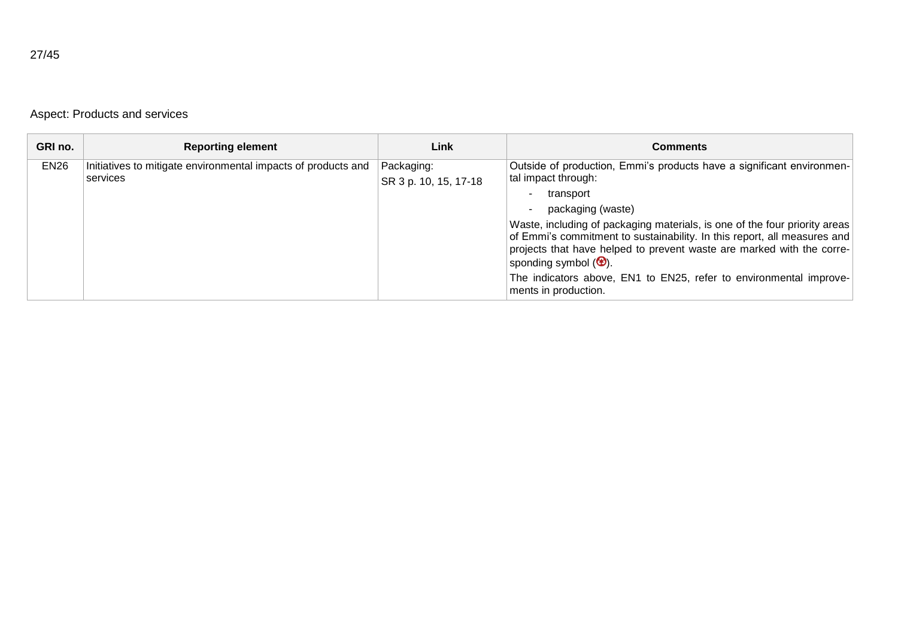Aspect: Products and services

| GRI no.     | <b>Reporting element</b>                                                  | Link                                | <b>Comments</b>                                                                                                                                                                                                                                                    |
|-------------|---------------------------------------------------------------------------|-------------------------------------|--------------------------------------------------------------------------------------------------------------------------------------------------------------------------------------------------------------------------------------------------------------------|
| <b>EN26</b> | Initiatives to mitigate environmental impacts of products and<br>services | Packaging:<br>SR 3 p. 10, 15, 17-18 | Outside of production, Emmi's products have a significant environmen-<br>tal impact through:                                                                                                                                                                       |
|             |                                                                           |                                     | transport<br>٠                                                                                                                                                                                                                                                     |
|             |                                                                           |                                     | packaging (waste)<br>$\overline{\phantom{a}}$                                                                                                                                                                                                                      |
|             |                                                                           |                                     | Waste, including of packaging materials, is one of the four priority areas<br>of Emmi's commitment to sustainability. In this report, all measures and<br>projects that have helped to prevent waste are marked with the corre-<br>sponding symbol $(\bigoplus)$ . |
|             |                                                                           |                                     | The indicators above, EN1 to EN25, refer to environmental improve-<br>ments in production.                                                                                                                                                                         |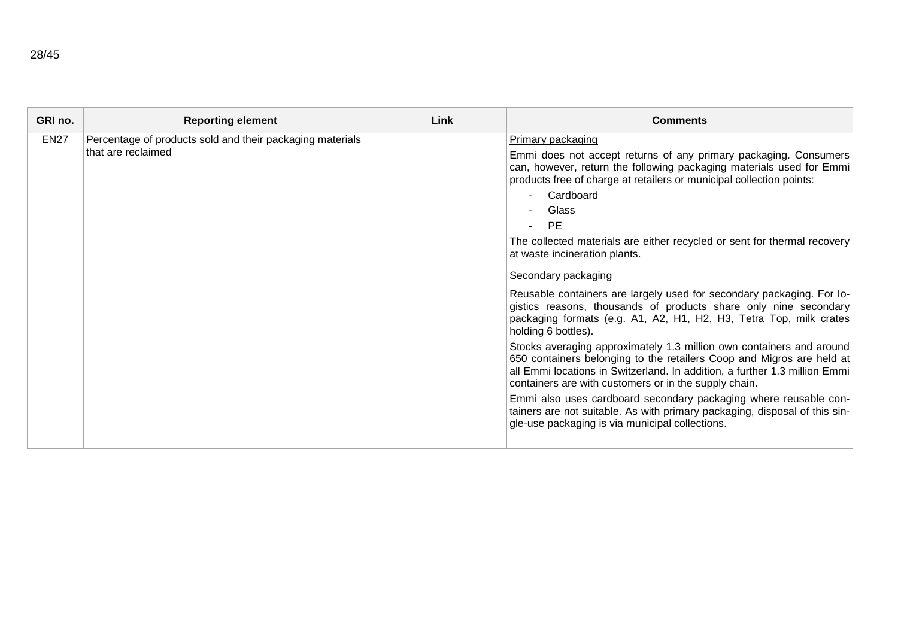| GRI no.     | <b>Reporting element</b>                                  | Link | <b>Comments</b>                                                                                                                                                                                                                                                                      |
|-------------|-----------------------------------------------------------|------|--------------------------------------------------------------------------------------------------------------------------------------------------------------------------------------------------------------------------------------------------------------------------------------|
| <b>EN27</b> | Percentage of products sold and their packaging materials |      | Primary packaging                                                                                                                                                                                                                                                                    |
|             | that are reclaimed                                        |      | Emmi does not accept returns of any primary packaging. Consumers<br>can, however, return the following packaging materials used for Emmi<br>products free of charge at retailers or municipal collection points:                                                                     |
|             |                                                           |      | Cardboard<br>$\sim$                                                                                                                                                                                                                                                                  |
|             |                                                           |      | Glass<br>$\sim$                                                                                                                                                                                                                                                                      |
|             |                                                           |      | <b>PE</b><br>$\sim$                                                                                                                                                                                                                                                                  |
|             |                                                           |      | The collected materials are either recycled or sent for thermal recovery<br>at waste incineration plants.                                                                                                                                                                            |
|             |                                                           |      | Secondary packaging                                                                                                                                                                                                                                                                  |
|             |                                                           |      | Reusable containers are largely used for secondary packaging. For lo-<br>gistics reasons, thousands of products share only nine secondary<br>packaging formats (e.g. A1, A2, H1, H2, H3, Tetra Top, milk crates<br>holding 6 bottles).                                               |
|             |                                                           |      | Stocks averaging approximately 1.3 million own containers and around<br>650 containers belonging to the retailers Coop and Migros are held at<br>all Emmi locations in Switzerland. In addition, a further 1.3 million Emmi<br>containers are with customers or in the supply chain. |
|             |                                                           |      | Emmi also uses cardboard secondary packaging where reusable con-<br>tainers are not suitable. As with primary packaging, disposal of this sin-<br>gle-use packaging is via municipal collections.                                                                                    |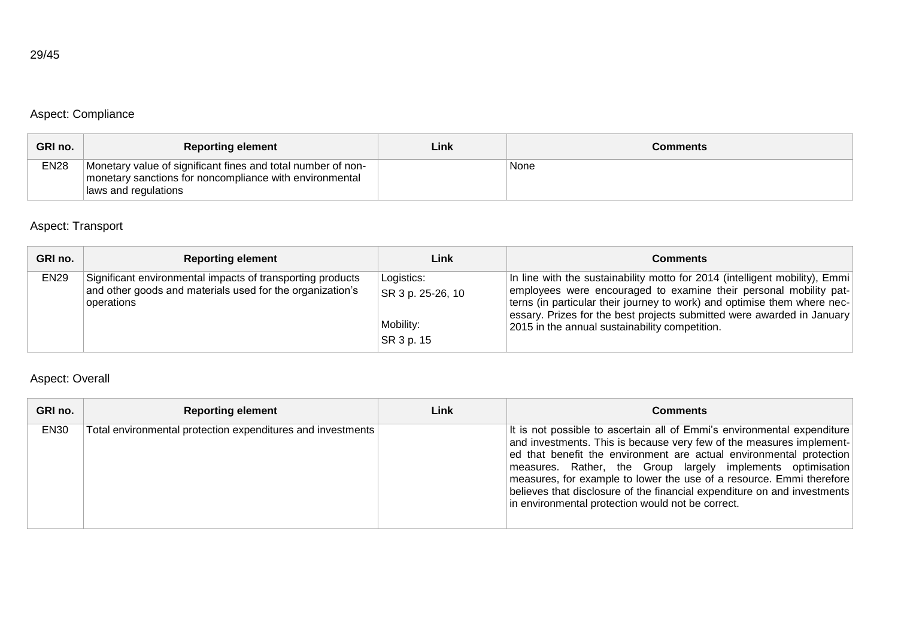# Aspect: Compliance

| GRI no.     | <b>Reporting element</b>                                                                                                                        | ∟ink | Comments |
|-------------|-------------------------------------------------------------------------------------------------------------------------------------------------|------|----------|
| <b>EN28</b> | Monetary value of significant fines and total number of non-<br>monetary sanctions for noncompliance with environmental<br>Iaws and regulations |      | None     |

# Aspect: Transport

| GRI no.     | <b>Reporting element</b>                                                                                                              | Link                                                       | <b>Comments</b>                                                                                                                                                                                                                                                                                                                                          |
|-------------|---------------------------------------------------------------------------------------------------------------------------------------|------------------------------------------------------------|----------------------------------------------------------------------------------------------------------------------------------------------------------------------------------------------------------------------------------------------------------------------------------------------------------------------------------------------------------|
| <b>EN29</b> | Significant environmental impacts of transporting products<br>and other goods and materials used for the organization's<br>operations | Logistics:<br>SR 3 p. 25-26, 10<br>Mobility:<br>SR 3 p. 15 | In line with the sustainability motto for 2014 (intelligent mobility), Emmi<br>employees were encouraged to examine their personal mobility pat-<br>terns (in particular their journey to work) and optimise them where nec-<br>essary. Prizes for the best projects submitted were awarded in January<br>2015 in the annual sustainability competition. |

# Aspect: Overall

| GRI no.     | <b>Reporting element</b>                                    | Link | Comments                                                                                                                                                                                                                                                                                                                                                                                                                                                                                       |
|-------------|-------------------------------------------------------------|------|------------------------------------------------------------------------------------------------------------------------------------------------------------------------------------------------------------------------------------------------------------------------------------------------------------------------------------------------------------------------------------------------------------------------------------------------------------------------------------------------|
| <b>EN30</b> | Total environmental protection expenditures and investments |      | It is not possible to ascertain all of Emmi's environmental expenditure<br>and investments. This is because very few of the measures implement-<br>ed that benefit the environment are actual environmental protection<br>measures. Rather, the Group largely implements optimisation<br>measures, for example to lower the use of a resource. Emmi therefore<br>believes that disclosure of the financial expenditure on and investments<br>in environmental protection would not be correct. |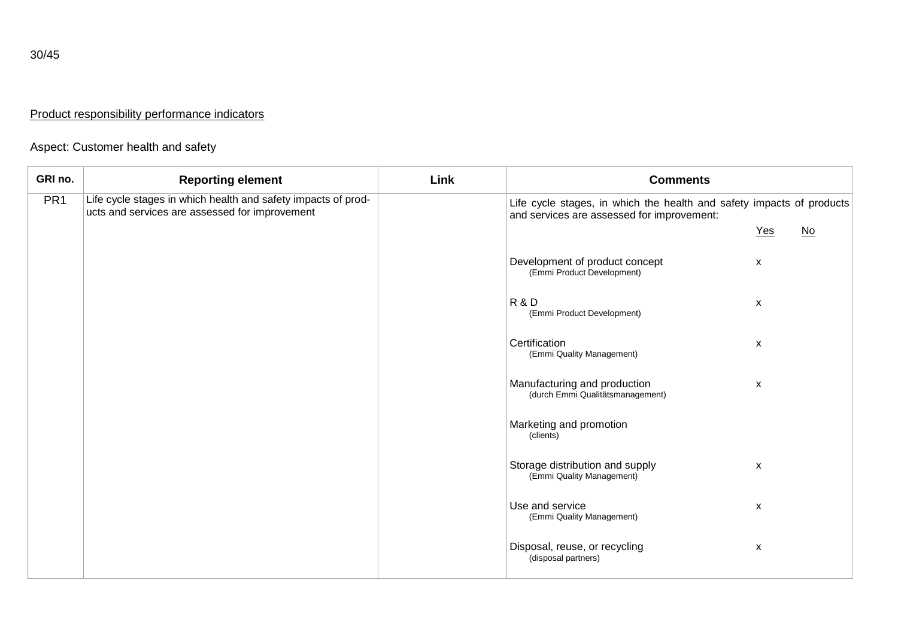# Product responsibility performance indicators

# Aspect: Customer health and safety

| GRI no.         | <b>Reporting element</b>                                                                                        | Link | <b>Comments</b>                                                                                                     |     |                           |
|-----------------|-----------------------------------------------------------------------------------------------------------------|------|---------------------------------------------------------------------------------------------------------------------|-----|---------------------------|
| PR <sub>1</sub> | Life cycle stages in which health and safety impacts of prod-<br>ucts and services are assessed for improvement |      | Life cycle stages, in which the health and safety impacts of products<br>and services are assessed for improvement: |     |                           |
|                 |                                                                                                                 |      |                                                                                                                     | Yes | $\underline{\mathsf{No}}$ |
|                 |                                                                                                                 |      | Development of product concept<br>(Emmi Product Development)                                                        | X   |                           |
|                 |                                                                                                                 |      | R & D<br>(Emmi Product Development)                                                                                 | X   |                           |
|                 |                                                                                                                 |      | Certification<br>(Emmi Quality Management)                                                                          | X   |                           |
|                 |                                                                                                                 |      | Manufacturing and production<br>(durch Emmi Qualitätsmanagement)                                                    | X   |                           |
|                 |                                                                                                                 |      | Marketing and promotion<br>(clients)                                                                                |     |                           |
|                 |                                                                                                                 |      | Storage distribution and supply<br>(Emmi Quality Management)                                                        | X   |                           |
|                 |                                                                                                                 |      | Use and service<br>(Emmi Quality Management)                                                                        | X   |                           |
|                 |                                                                                                                 |      | Disposal, reuse, or recycling<br>(disposal partners)                                                                | X   |                           |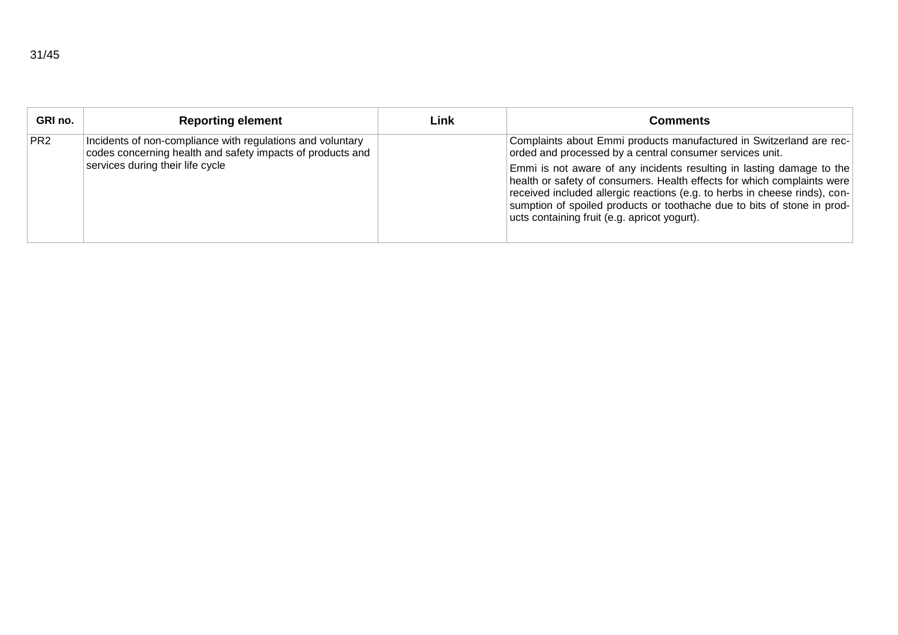| GRI no.         | <b>Reporting element</b>                                                                                                 | Link | Comments                                                                                                                                                                                                                                                                                                                                                  |
|-----------------|--------------------------------------------------------------------------------------------------------------------------|------|-----------------------------------------------------------------------------------------------------------------------------------------------------------------------------------------------------------------------------------------------------------------------------------------------------------------------------------------------------------|
| PR <sub>2</sub> | Incidents of non-compliance with regulations and voluntary<br>codes concerning health and safety impacts of products and |      | Complaints about Emmi products manufactured in Switzerland are rec-<br>orded and processed by a central consumer services unit.                                                                                                                                                                                                                           |
|                 | services during their life cycle                                                                                         |      | Emmi is not aware of any incidents resulting in lasting damage to the<br>health or safety of consumers. Health effects for which complaints were<br>received included allergic reactions (e.g. to herbs in cheese rinds), con-<br>sumption of spoiled products or toothache due to bits of stone in prod-<br>ucts containing fruit (e.g. apricot yogurt). |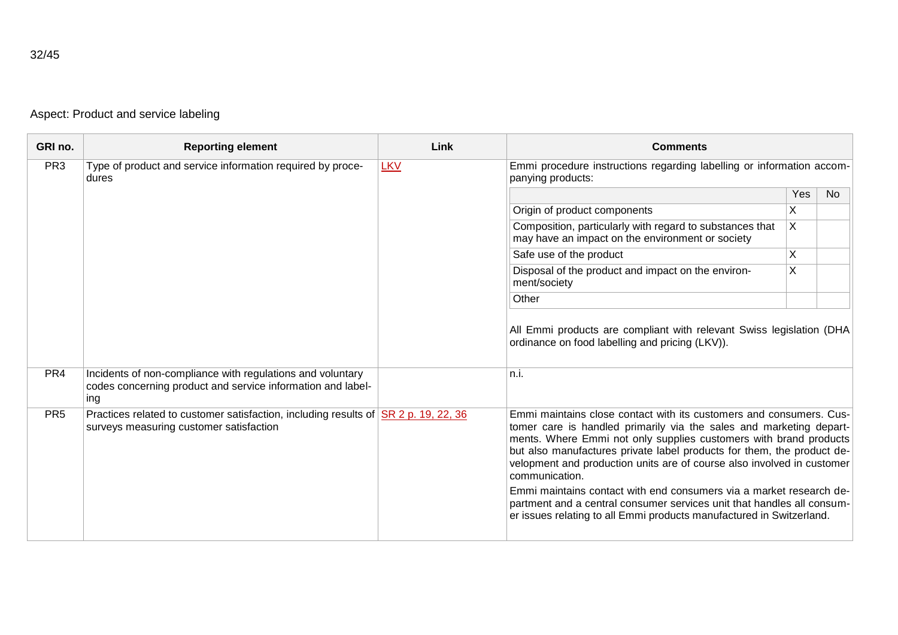Aspect: Product and service labeling

| GRI no.         | <b>Reporting element</b>                                                                                                                            | Link       | <b>Comments</b>                                                                                                                                                                                                                                                                                                                                                                                                                                                                                                                                                                                                |     |    |
|-----------------|-----------------------------------------------------------------------------------------------------------------------------------------------------|------------|----------------------------------------------------------------------------------------------------------------------------------------------------------------------------------------------------------------------------------------------------------------------------------------------------------------------------------------------------------------------------------------------------------------------------------------------------------------------------------------------------------------------------------------------------------------------------------------------------------------|-----|----|
| PR <sub>3</sub> | Type of product and service information required by proce-<br>dures                                                                                 | <b>LKV</b> | Emmi procedure instructions regarding labelling or information accom-<br>panying products:                                                                                                                                                                                                                                                                                                                                                                                                                                                                                                                     |     |    |
|                 |                                                                                                                                                     |            |                                                                                                                                                                                                                                                                                                                                                                                                                                                                                                                                                                                                                | Yes | No |
|                 |                                                                                                                                                     |            | Origin of product components                                                                                                                                                                                                                                                                                                                                                                                                                                                                                                                                                                                   | X   |    |
|                 |                                                                                                                                                     |            | Composition, particularly with regard to substances that<br>may have an impact on the environment or society                                                                                                                                                                                                                                                                                                                                                                                                                                                                                                   | X   |    |
|                 |                                                                                                                                                     |            | Safe use of the product                                                                                                                                                                                                                                                                                                                                                                                                                                                                                                                                                                                        | X   |    |
|                 |                                                                                                                                                     |            | Disposal of the product and impact on the environ-<br>ment/society                                                                                                                                                                                                                                                                                                                                                                                                                                                                                                                                             | X   |    |
|                 |                                                                                                                                                     |            | Other                                                                                                                                                                                                                                                                                                                                                                                                                                                                                                                                                                                                          |     |    |
| PR <sub>4</sub> | Incidents of non-compliance with regulations and voluntary<br>codes concerning product and service information and label-<br>ing                    |            | All Emmi products are compliant with relevant Swiss legislation (DHA<br>ordinance on food labelling and pricing (LKV)).<br>n.i.                                                                                                                                                                                                                                                                                                                                                                                                                                                                                |     |    |
| PR <sub>5</sub> | Practices related to customer satisfaction, including results of $\overline{\text{SR 2 p}}$ . 19, 22, 36<br>surveys measuring customer satisfaction |            | Emmi maintains close contact with its customers and consumers. Cus-<br>tomer care is handled primarily via the sales and marketing depart-<br>ments. Where Emmi not only supplies customers with brand products<br>but also manufactures private label products for them, the product de-<br>velopment and production units are of course also involved in customer<br>communication.<br>Emmi maintains contact with end consumers via a market research de-<br>partment and a central consumer services unit that handles all consum-<br>er issues relating to all Emmi products manufactured in Switzerland. |     |    |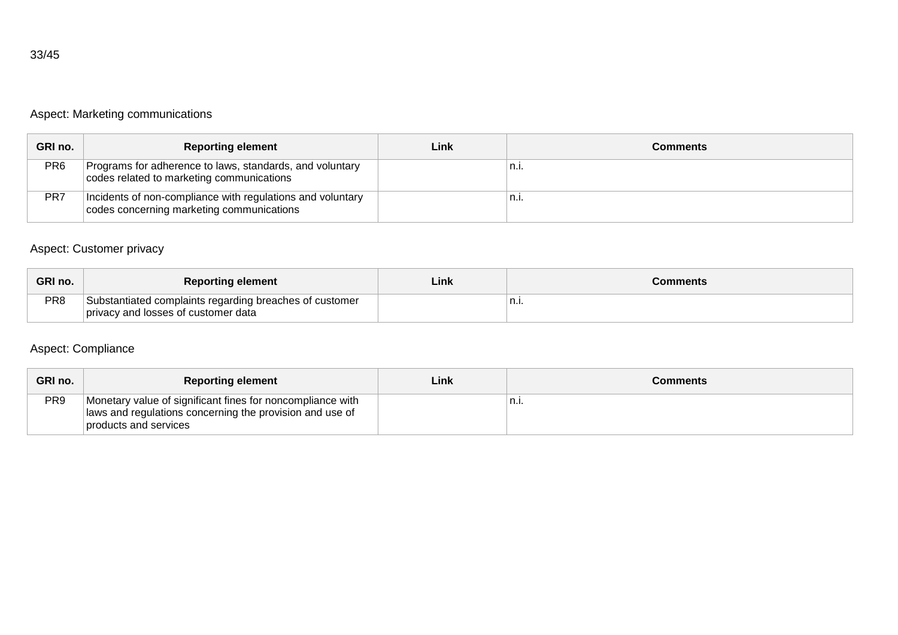# Aspect: Marketing communications

| GRI no. | <b>Reporting element</b>                                                                                | Link | Comments |
|---------|---------------------------------------------------------------------------------------------------------|------|----------|
| PR6     | Programs for adherence to laws, standards, and voluntary<br>codes related to marketing communications   |      | n.l.     |
| PR7     | Incidents of non-compliance with regulations and voluntary<br>codes concerning marketing communications |      | `n.i.    |

# Aspect: Customer privacy

| GRI no.         | <b>Reporting element</b>                                                                       | Link | Comments |
|-----------------|------------------------------------------------------------------------------------------------|------|----------|
| PR <sub>8</sub> | Substantiated complaints regarding breaches of customer<br>privacy and losses of customer data |      | ,,,,     |

### Aspect: Compliance

| GRI no.         | <b>Reporting element</b>                                                                                                                        | Linki | Comments |
|-----------------|-------------------------------------------------------------------------------------------------------------------------------------------------|-------|----------|
| PR <sub>9</sub> | Monetary value of significant fines for noncompliance with<br>laws and regulations concerning the provision and use of<br>products and services |       | n.i.     |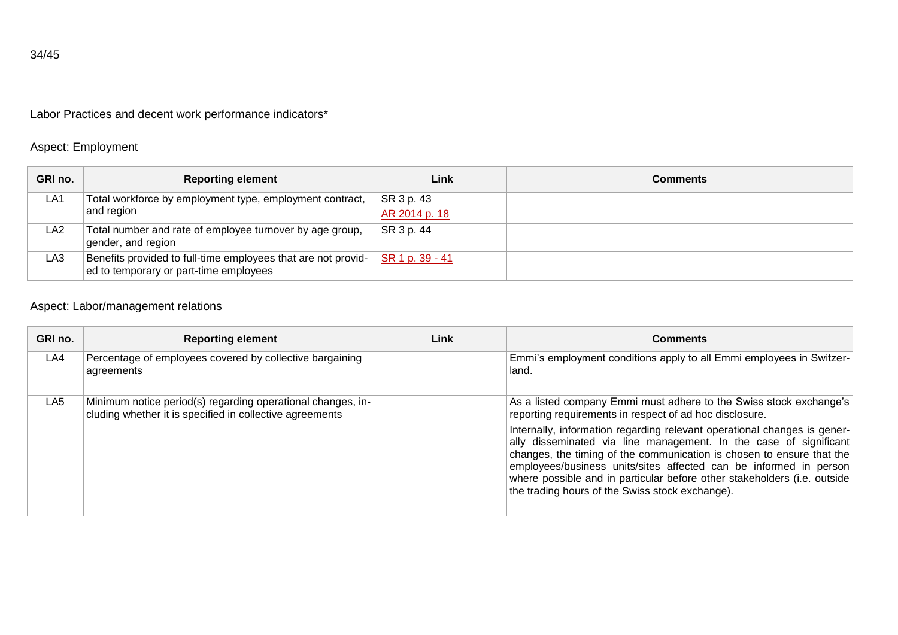# Labor Practices and decent work performance indicators\*

### Aspect: Employment

| GRI no.         | <b>Reporting element</b>                                                                                | Link            | <b>Comments</b> |
|-----------------|---------------------------------------------------------------------------------------------------------|-----------------|-----------------|
| LA <sub>1</sub> | Total workforce by employment type, employment contract,                                                | SR 3 p. 43      |                 |
|                 | and region                                                                                              | AR 2014 p. 18   |                 |
| LA2             | Total number and rate of employee turnover by age group,<br>gender, and region                          | SR 3 p. 44      |                 |
| LA3             | Benefits provided to full-time employees that are not provid-<br>ed to temporary or part-time employees | SR 1 p. 39 - 41 |                 |

# Aspect: Labor/management relations

| GRI no. | <b>Reporting element</b>                                                                                                | Link | <b>Comments</b>                                                                                                                                                                                                                                                                                                                                                                                                            |
|---------|-------------------------------------------------------------------------------------------------------------------------|------|----------------------------------------------------------------------------------------------------------------------------------------------------------------------------------------------------------------------------------------------------------------------------------------------------------------------------------------------------------------------------------------------------------------------------|
| LA4     | Percentage of employees covered by collective bargaining<br>agreements                                                  |      | Emmi's employment conditions apply to all Emmi employees in Switzer-<br>land.                                                                                                                                                                                                                                                                                                                                              |
| LA5     | Minimum notice period(s) regarding operational changes, in-<br>cluding whether it is specified in collective agreements |      | As a listed company Emmi must adhere to the Swiss stock exchange's<br>reporting requirements in respect of ad hoc disclosure.                                                                                                                                                                                                                                                                                              |
|         |                                                                                                                         |      | Internally, information regarding relevant operational changes is gener-<br>ally disseminated via line management. In the case of significant<br>changes, the timing of the communication is chosen to ensure that the<br>employees/business units/sites affected can be informed in person<br>where possible and in particular before other stakeholders (i.e. outside<br>the trading hours of the Swiss stock exchange). |

34/45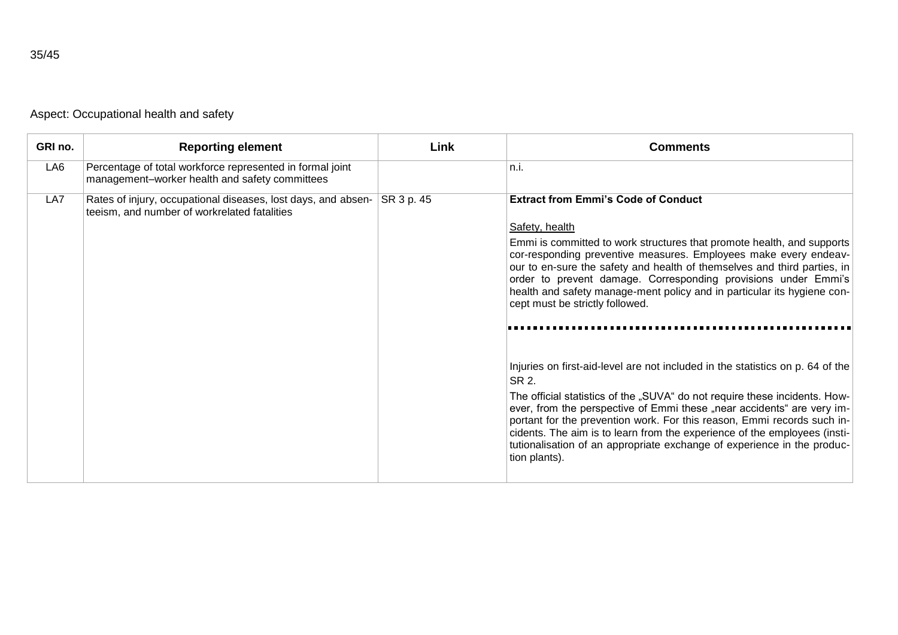|  | Aspect: Occupational health and safety |  |  |  |
|--|----------------------------------------|--|--|--|
|--|----------------------------------------|--|--|--|

| GRI no. | <b>Reporting element</b>                                                                                      | Link       | <b>Comments</b>                                                                                                                                                                                                                                                                                                                                                                                                                                                                                                                                                                                                                                                                                                                                                                                                                                                                                                                                                               |
|---------|---------------------------------------------------------------------------------------------------------------|------------|-------------------------------------------------------------------------------------------------------------------------------------------------------------------------------------------------------------------------------------------------------------------------------------------------------------------------------------------------------------------------------------------------------------------------------------------------------------------------------------------------------------------------------------------------------------------------------------------------------------------------------------------------------------------------------------------------------------------------------------------------------------------------------------------------------------------------------------------------------------------------------------------------------------------------------------------------------------------------------|
| LA6     | Percentage of total workforce represented in formal joint<br>management-worker health and safety committees   |            | n.i.                                                                                                                                                                                                                                                                                                                                                                                                                                                                                                                                                                                                                                                                                                                                                                                                                                                                                                                                                                          |
| LA7     | Rates of injury, occupational diseases, lost days, and absen-<br>teeism, and number of workrelated fatalities | SR 3 p. 45 | <b>Extract from Emmi's Code of Conduct</b><br>Safety, health<br>Emmi is committed to work structures that promote health, and supports<br>cor-responding preventive measures. Employees make every endeav-<br>our to en-sure the safety and health of themselves and third parties, in<br>order to prevent damage. Corresponding provisions under Emmi's<br>health and safety manage-ment policy and in particular its hygiene con-<br>cept must be strictly followed.<br>Injuries on first-aid-level are not included in the statistics on p. 64 of the<br>SR 2.<br>The official statistics of the "SUVA" do not require these incidents. How-<br>ever, from the perspective of Emmi these "near accidents" are very im-<br>portant for the prevention work. For this reason, Emmi records such in-<br>cidents. The aim is to learn from the experience of the employees (insti-<br>tutionalisation of an appropriate exchange of experience in the produc-<br>tion plants). |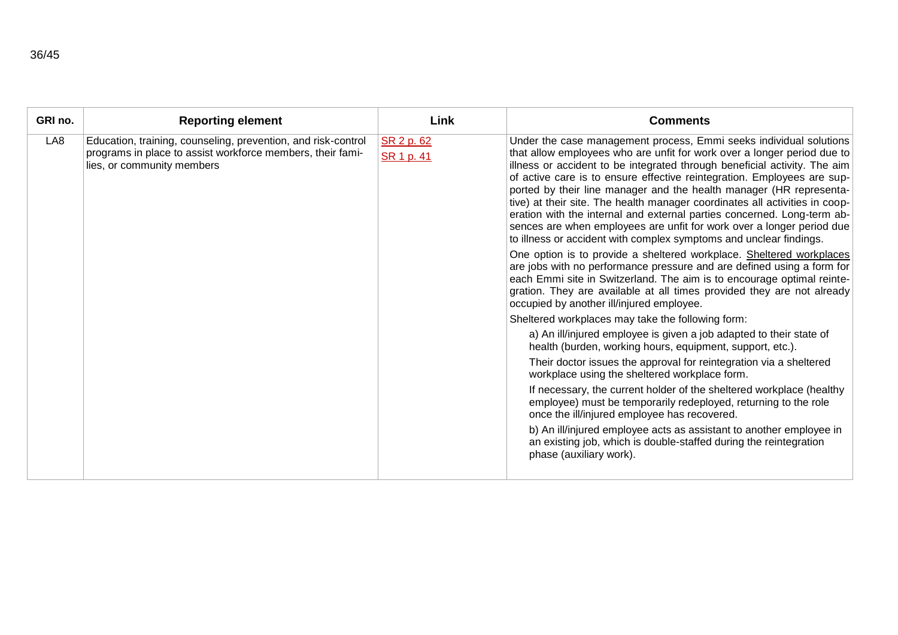| GRI no. | <b>Reporting element</b>                                                                                                                                  | Link                     | <b>Comments</b>                                                                                                                                                                                                                                                                                                                                                                                                                                                                                                                                                                                                                                                                       |
|---------|-----------------------------------------------------------------------------------------------------------------------------------------------------------|--------------------------|---------------------------------------------------------------------------------------------------------------------------------------------------------------------------------------------------------------------------------------------------------------------------------------------------------------------------------------------------------------------------------------------------------------------------------------------------------------------------------------------------------------------------------------------------------------------------------------------------------------------------------------------------------------------------------------|
| LA8     | Education, training, counseling, prevention, and risk-control<br>programs in place to assist workforce members, their fami-<br>lies, or community members | SR 2 p. 62<br>SR 1 p. 41 | Under the case management process, Emmi seeks individual solutions<br>that allow employees who are unfit for work over a longer period due to<br>illness or accident to be integrated through beneficial activity. The aim<br>of active care is to ensure effective reintegration. Employees are sup-<br>ported by their line manager and the health manager (HR representa-<br>tive) at their site. The health manager coordinates all activities in coop-<br>eration with the internal and external parties concerned. Long-term ab-<br>sences are when employees are unfit for work over a longer period due<br>to illness or accident with complex symptoms and unclear findings. |
|         |                                                                                                                                                           |                          | One option is to provide a sheltered workplace. Sheltered workplaces<br>are jobs with no performance pressure and are defined using a form for<br>each Emmi site in Switzerland. The aim is to encourage optimal reinte-<br>gration. They are available at all times provided they are not already<br>occupied by another ill/injured employee.                                                                                                                                                                                                                                                                                                                                       |
|         |                                                                                                                                                           |                          | Sheltered workplaces may take the following form:                                                                                                                                                                                                                                                                                                                                                                                                                                                                                                                                                                                                                                     |
|         |                                                                                                                                                           |                          | a) An ill/injured employee is given a job adapted to their state of<br>health (burden, working hours, equipment, support, etc.).                                                                                                                                                                                                                                                                                                                                                                                                                                                                                                                                                      |
|         |                                                                                                                                                           |                          | Their doctor issues the approval for reintegration via a sheltered<br>workplace using the sheltered workplace form.                                                                                                                                                                                                                                                                                                                                                                                                                                                                                                                                                                   |
|         |                                                                                                                                                           |                          | If necessary, the current holder of the sheltered workplace (healthy<br>employee) must be temporarily redeployed, returning to the role<br>once the ill/injured employee has recovered.                                                                                                                                                                                                                                                                                                                                                                                                                                                                                               |
|         |                                                                                                                                                           |                          | b) An ill/injured employee acts as assistant to another employee in<br>an existing job, which is double-staffed during the reintegration<br>phase (auxiliary work).                                                                                                                                                                                                                                                                                                                                                                                                                                                                                                                   |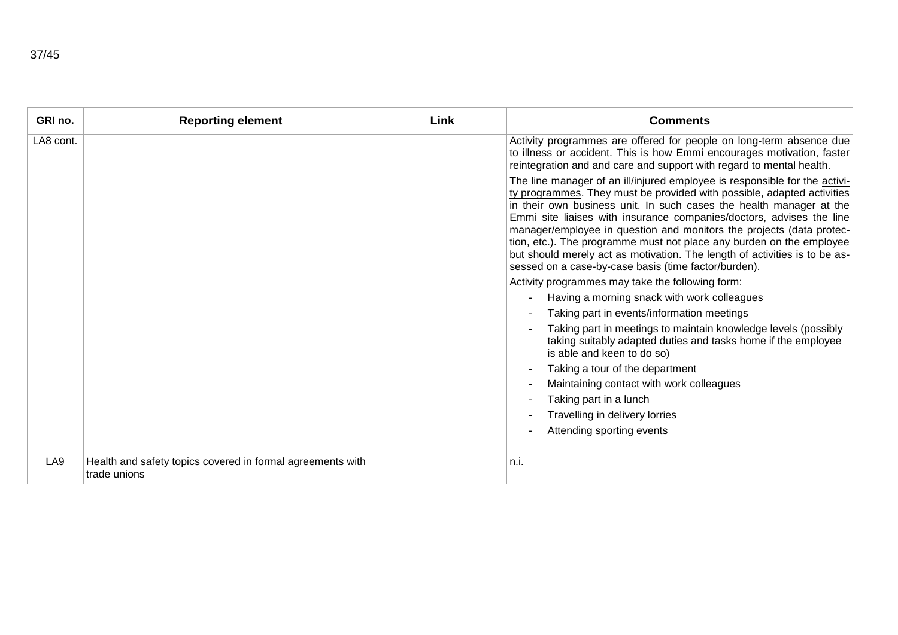| GRI no.         | <b>Reporting element</b>                                                   | Link | <b>Comments</b>                                                                                                                                                                                                                                                                                                                                                                                                                                                                                                                                                                                                                                                                                                                                                                                                                                                                                                                                                                                                                                                                     |
|-----------------|----------------------------------------------------------------------------|------|-------------------------------------------------------------------------------------------------------------------------------------------------------------------------------------------------------------------------------------------------------------------------------------------------------------------------------------------------------------------------------------------------------------------------------------------------------------------------------------------------------------------------------------------------------------------------------------------------------------------------------------------------------------------------------------------------------------------------------------------------------------------------------------------------------------------------------------------------------------------------------------------------------------------------------------------------------------------------------------------------------------------------------------------------------------------------------------|
| LA8 cont.       |                                                                            |      | Activity programmes are offered for people on long-term absence due<br>to illness or accident. This is how Emmi encourages motivation, faster<br>reintegration and and care and support with regard to mental health.                                                                                                                                                                                                                                                                                                                                                                                                                                                                                                                                                                                                                                                                                                                                                                                                                                                               |
|                 |                                                                            |      | The line manager of an ill/injured employee is responsible for the activi-<br>ty programmes. They must be provided with possible, adapted activities<br>in their own business unit. In such cases the health manager at the<br>Emmi site liaises with insurance companies/doctors, advises the line<br>manager/employee in question and monitors the projects (data protec-<br>tion, etc.). The programme must not place any burden on the employee<br>but should merely act as motivation. The length of activities is to be as-<br>sessed on a case-by-case basis (time factor/burden).<br>Activity programmes may take the following form:<br>Having a morning snack with work colleagues<br>Taking part in events/information meetings<br>Taking part in meetings to maintain knowledge levels (possibly<br>taking suitably adapted duties and tasks home if the employee<br>is able and keen to do so)<br>Taking a tour of the department<br>Maintaining contact with work colleagues<br>Taking part in a lunch<br>Travelling in delivery lorries<br>Attending sporting events |
|                 |                                                                            |      |                                                                                                                                                                                                                                                                                                                                                                                                                                                                                                                                                                                                                                                                                                                                                                                                                                                                                                                                                                                                                                                                                     |
| LA <sub>9</sub> | Health and safety topics covered in formal agreements with<br>trade unions |      | n.i.                                                                                                                                                                                                                                                                                                                                                                                                                                                                                                                                                                                                                                                                                                                                                                                                                                                                                                                                                                                                                                                                                |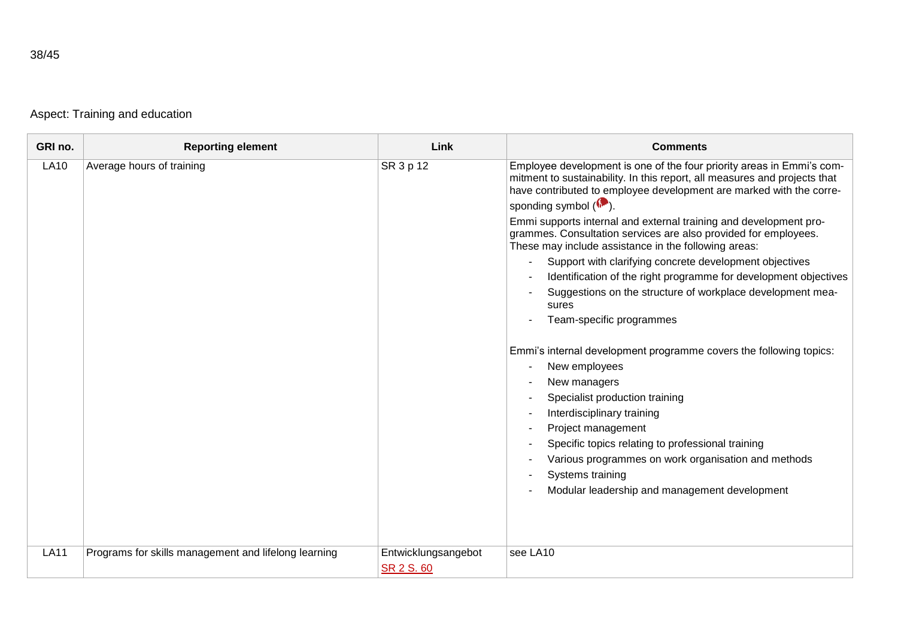Aspect: Training and education

| GRI no.     | <b>Reporting element</b>                             | Link                              | <b>Comments</b>                                                                                                                                                                                                                                                                                                                                                                                                                                                                                                                                                                                                                                                                                                                                                                                                                                                                                                                                                                                                                                                                            |
|-------------|------------------------------------------------------|-----------------------------------|--------------------------------------------------------------------------------------------------------------------------------------------------------------------------------------------------------------------------------------------------------------------------------------------------------------------------------------------------------------------------------------------------------------------------------------------------------------------------------------------------------------------------------------------------------------------------------------------------------------------------------------------------------------------------------------------------------------------------------------------------------------------------------------------------------------------------------------------------------------------------------------------------------------------------------------------------------------------------------------------------------------------------------------------------------------------------------------------|
| <b>LA10</b> | Average hours of training                            | SR 3 p 12                         | Employee development is one of the four priority areas in Emmi's com-<br>mitment to sustainability. In this report, all measures and projects that<br>have contributed to employee development are marked with the corre-<br>sponding symbol (<br>Emmi supports internal and external training and development pro-<br>grammes. Consultation services are also provided for employees.<br>These may include assistance in the following areas:<br>Support with clarifying concrete development objectives<br>Identification of the right programme for development objectives<br>Suggestions on the structure of workplace development mea-<br>sures<br>Team-specific programmes<br>Emmi's internal development programme covers the following topics:<br>New employees<br>New managers<br>Specialist production training<br>Interdisciplinary training<br>Project management<br>Specific topics relating to professional training<br>$\overline{\phantom{a}}$<br>Various programmes on work organisation and methods<br>Systems training<br>Modular leadership and management development |
| <b>LA11</b> | Programs for skills management and lifelong learning | Entwicklungsangebot<br>SR 2 S. 60 | see LA10                                                                                                                                                                                                                                                                                                                                                                                                                                                                                                                                                                                                                                                                                                                                                                                                                                                                                                                                                                                                                                                                                   |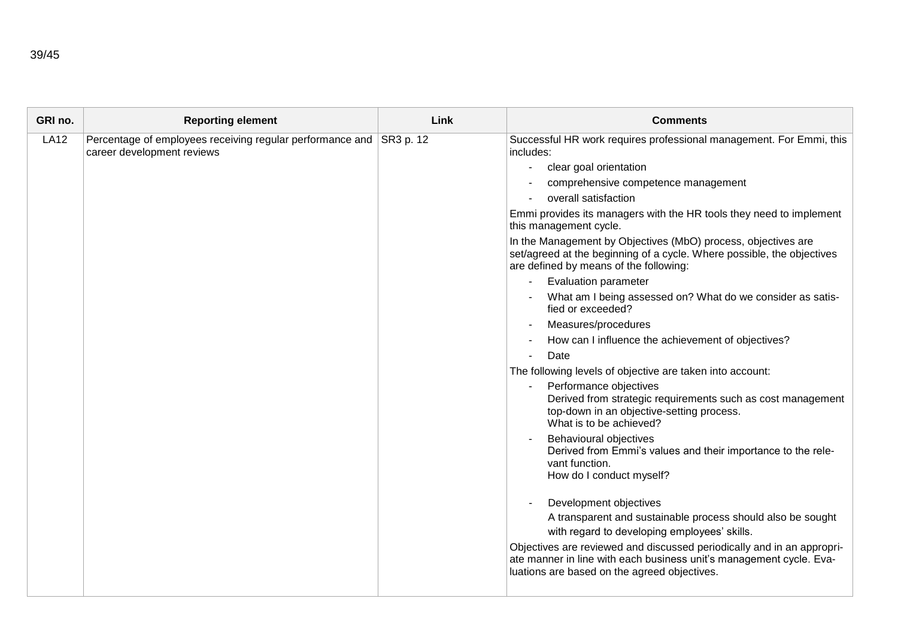| GRI no.     | <b>Reporting element</b>                                                                          | Link | <b>Comments</b>                                                                                                                                                                               |
|-------------|---------------------------------------------------------------------------------------------------|------|-----------------------------------------------------------------------------------------------------------------------------------------------------------------------------------------------|
| <b>LA12</b> | Percentage of employees receiving regular performance and SR3 p. 12<br>career development reviews |      | Successful HR work requires professional management. For Emmi, this<br>includes:                                                                                                              |
|             |                                                                                                   |      | clear goal orientation<br>$\blacksquare$                                                                                                                                                      |
|             |                                                                                                   |      | comprehensive competence management                                                                                                                                                           |
|             |                                                                                                   |      | overall satisfaction                                                                                                                                                                          |
|             |                                                                                                   |      | Emmi provides its managers with the HR tools they need to implement<br>this management cycle.                                                                                                 |
|             |                                                                                                   |      | In the Management by Objectives (MbO) process, objectives are<br>set/agreed at the beginning of a cycle. Where possible, the objectives<br>are defined by means of the following:             |
|             |                                                                                                   |      | <b>Evaluation parameter</b>                                                                                                                                                                   |
|             |                                                                                                   |      | What am I being assessed on? What do we consider as satis-<br>fied or exceeded?                                                                                                               |
|             |                                                                                                   |      | Measures/procedures                                                                                                                                                                           |
|             |                                                                                                   |      | How can I influence the achievement of objectives?                                                                                                                                            |
|             |                                                                                                   |      | Date                                                                                                                                                                                          |
|             |                                                                                                   |      | The following levels of objective are taken into account:                                                                                                                                     |
|             |                                                                                                   |      | Performance objectives<br>Derived from strategic requirements such as cost management<br>top-down in an objective-setting process.<br>What is to be achieved?                                 |
|             |                                                                                                   |      | Behavioural objectives<br>Derived from Emmi's values and their importance to the rele-<br>vant function.<br>How do I conduct myself?                                                          |
|             |                                                                                                   |      | Development objectives                                                                                                                                                                        |
|             |                                                                                                   |      | A transparent and sustainable process should also be sought                                                                                                                                   |
|             |                                                                                                   |      | with regard to developing employees' skills.                                                                                                                                                  |
|             |                                                                                                   |      | Objectives are reviewed and discussed periodically and in an appropri-<br>ate manner in line with each business unit's management cycle. Eva-<br>luations are based on the agreed objectives. |
|             |                                                                                                   |      |                                                                                                                                                                                               |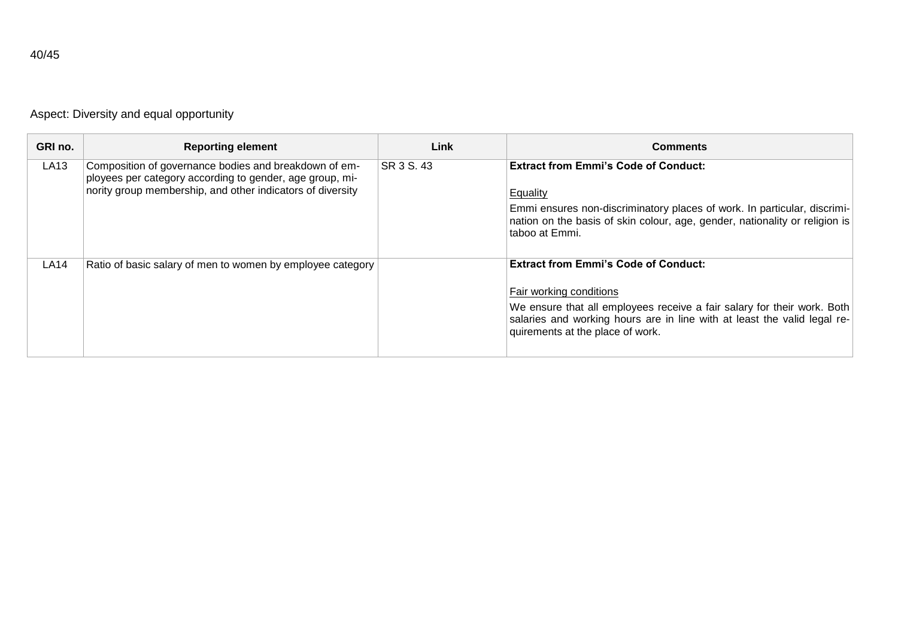| ٧ |
|---|
|   |

Aspect: Diversity and equal opportunity

| GRI no. | <b>Reporting element</b>                                                                                                                                                        | Link       | <b>Comments</b>                                                                                                                                                                                                                                                   |
|---------|---------------------------------------------------------------------------------------------------------------------------------------------------------------------------------|------------|-------------------------------------------------------------------------------------------------------------------------------------------------------------------------------------------------------------------------------------------------------------------|
| LA13    | Composition of governance bodies and breakdown of em-<br>ployees per category according to gender, age group, mi-<br>nority group membership, and other indicators of diversity | SR 3 S, 43 | <b>Extract from Emmi's Code of Conduct:</b><br>Equality<br>Emmi ensures non-discriminatory places of work. In particular, discrimi-<br>nation on the basis of skin colour, age, gender, nationality or religion is<br>taboo at Emmi.                              |
| LA14    | Ratio of basic salary of men to women by employee category                                                                                                                      |            | <b>Extract from Emmi's Code of Conduct:</b><br>Fair working conditions<br>We ensure that all employees receive a fair salary for their work. Both<br>salaries and working hours are in line with at least the valid legal re-<br>quirements at the place of work. |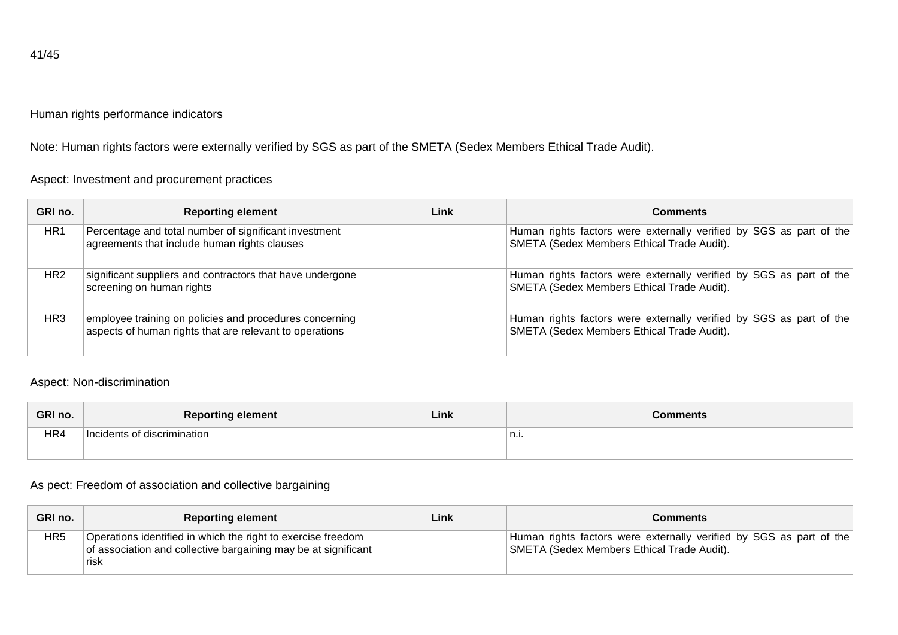#### Human rights performance indicators

Note: Human rights factors were externally verified by SGS as part of the SMETA (Sedex Members Ethical Trade Audit).

Aspect: Investment and procurement practices

| GRI no.         | <b>Reporting element</b>                                                                                           | Link | <b>Comments</b>                                                                                                   |
|-----------------|--------------------------------------------------------------------------------------------------------------------|------|-------------------------------------------------------------------------------------------------------------------|
| HR <sub>1</sub> | Percentage and total number of significant investment<br>agreements that include human rights clauses              |      | Human rights factors were externally verified by SGS as part of the<br>SMETA (Sedex Members Ethical Trade Audit). |
| HR <sub>2</sub> | significant suppliers and contractors that have undergone<br>screening on human rights                             |      | Human rights factors were externally verified by SGS as part of the<br>SMETA (Sedex Members Ethical Trade Audit). |
| HR3             | employee training on policies and procedures concerning<br>aspects of human rights that are relevant to operations |      | Human rights factors were externally verified by SGS as part of the<br>SMETA (Sedex Members Ethical Trade Audit). |

Aspect: Non-discrimination

| GRI no. | <b>Reporting element</b>    | Link | Comments |
|---------|-----------------------------|------|----------|
| HR4     | Incidents of discrimination |      | ⊥n.i.    |
|         |                             |      |          |

#### As pect: Freedom of association and collective bargaining

| GRI no. | <b>Reporting element</b>                                                                                                                           | Link | Comments                                                                                                          |
|---------|----------------------------------------------------------------------------------------------------------------------------------------------------|------|-------------------------------------------------------------------------------------------------------------------|
| HR5     | Operations identified in which the right to exercise freedom<br>of association and collective bargaining may be at significant $\parallel$<br>risk |      | Human rights factors were externally verified by SGS as part of the<br>SMETA (Sedex Members Ethical Trade Audit). |

41/45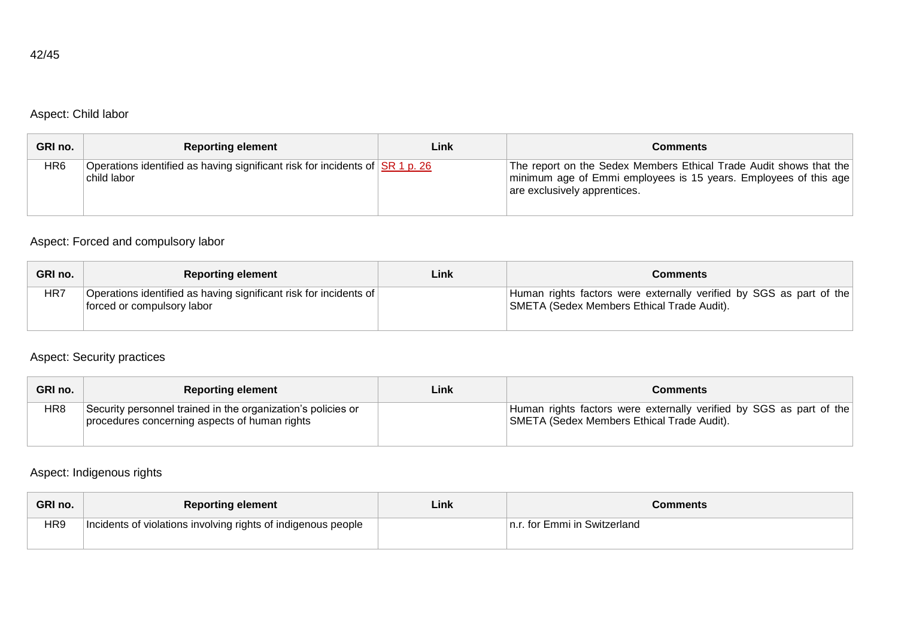# Aspect: Child labor

| GRI no. | <b>Reporting element</b>                                                                                         | Link | Comments                                                                                                                                                               |
|---------|------------------------------------------------------------------------------------------------------------------|------|------------------------------------------------------------------------------------------------------------------------------------------------------------------------|
| HR6     | Operations identified as having significant risk for incidents of $\overline{\text{SR 1 p}}$ . 26<br>child labor |      | The report on the Sedex Members Ethical Trade Audit shows that the<br>minimum age of Emmi employees is 15 years. Employees of this age<br>are exclusively apprentices. |

### Aspect: Forced and compulsory labor

| GRI no. | <b>Reporting element</b>                                                                        | Link | <b>Comments</b>                                                                                                   |
|---------|-------------------------------------------------------------------------------------------------|------|-------------------------------------------------------------------------------------------------------------------|
| HR7     | Operations identified as having significant risk for incidents of<br>forced or compulsory labor |      | Human rights factors were externally verified by SGS as part of the<br>SMETA (Sedex Members Ethical Trade Audit). |

### Aspect: Security practices

| GRI no. | <b>Reporting element</b>                                                                                      | Link | <b>Comments</b>                                                                                                   |
|---------|---------------------------------------------------------------------------------------------------------------|------|-------------------------------------------------------------------------------------------------------------------|
| HR8     | Security personnel trained in the organization's policies or<br>procedures concerning aspects of human rights |      | Human rights factors were externally verified by SGS as part of the<br>SMETA (Sedex Members Ethical Trade Audit). |

# Aspect: Indigenous rights

| GRI no. | <b>Reporting element</b>                                      | Link | Comments                      |
|---------|---------------------------------------------------------------|------|-------------------------------|
| HR9     | Incidents of violations involving rights of indigenous people |      | In.r. for Emmi in Switzerland |
|         |                                                               |      |                               |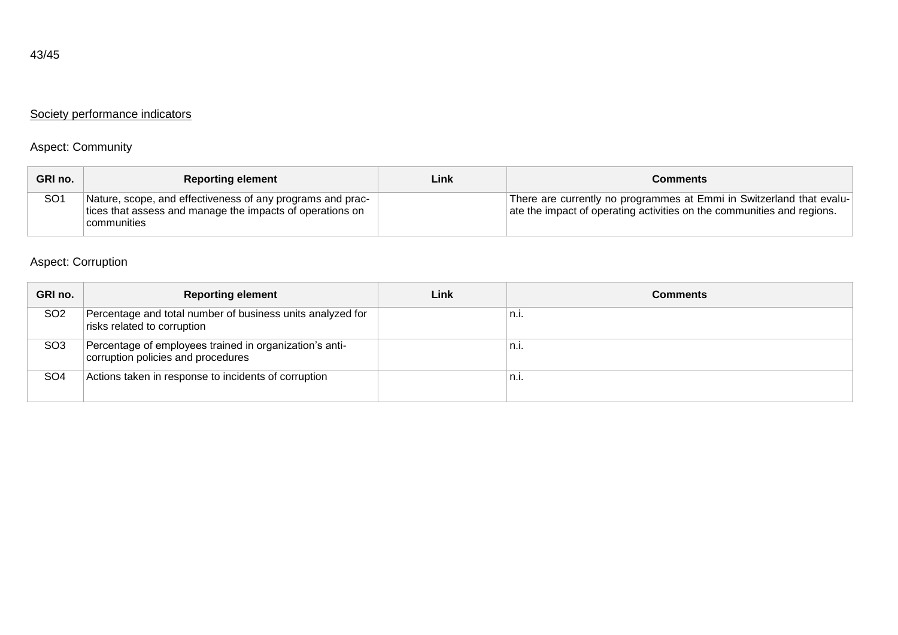# Society performance indicators

# Aspect: Community

| GRI no.         | <b>Reporting element</b>                                                                                                               | Link | Comments                                                                                                                                       |
|-----------------|----------------------------------------------------------------------------------------------------------------------------------------|------|------------------------------------------------------------------------------------------------------------------------------------------------|
| SO <sub>1</sub> | Nature, scope, and effectiveness of any programs and prac-<br>tices that assess and manage the impacts of operations on<br>communities |      | There are currently no programmes at Emmi in Switzerland that evalu-<br>ate the impact of operating activities on the communities and regions. |

# Aspect: Corruption

| GRI no.         | <b>Reporting element</b>                                                                      | Link | Comments    |
|-----------------|-----------------------------------------------------------------------------------------------|------|-------------|
| SO <sub>2</sub> | Percentage and total number of business units analyzed for<br>risks related to corruption     |      | n.i.        |
| SO <sub>3</sub> | Percentage of employees trained in organization's anti-<br>corruption policies and procedures |      | ≗n.i.       |
| SO <sub>4</sub> | Actions taken in response to incidents of corruption                                          |      | $n_{\cdot}$ |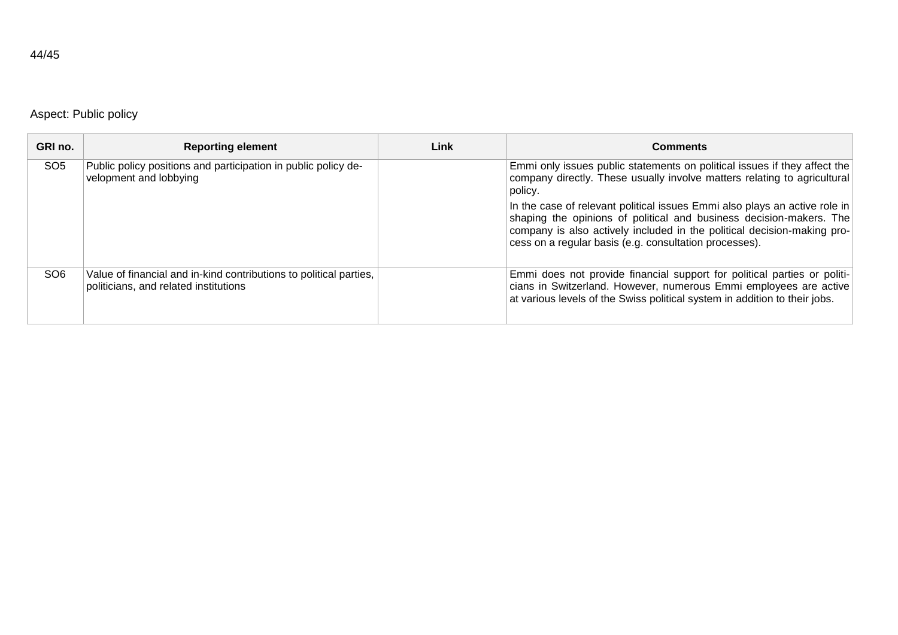# Aspect: Public policy

| GRI no.         | <b>Reporting element</b>                                                                                    | Link | <b>Comments</b>                                                                                                                                                                                                                                                                        |
|-----------------|-------------------------------------------------------------------------------------------------------------|------|----------------------------------------------------------------------------------------------------------------------------------------------------------------------------------------------------------------------------------------------------------------------------------------|
| SO <sub>5</sub> | Public policy positions and participation in public policy de-<br>velopment and lobbying                    |      | Emmi only issues public statements on political issues if they affect the<br>company directly. These usually involve matters relating to agricultural<br>policy.                                                                                                                       |
|                 |                                                                                                             |      | In the case of relevant political issues Emmi also plays an active role in<br>shaping the opinions of political and business decision-makers. The<br>company is also actively included in the political decision-making pro-<br>cess on a regular basis (e.g. consultation processes). |
| SO <sub>6</sub> | Value of financial and in-kind contributions to political parties,<br>politicians, and related institutions |      | Emmi does not provide financial support for political parties or politi-<br>cians in Switzerland. However, numerous Emmi employees are active<br>at various levels of the Swiss political system in addition to their jobs.                                                            |